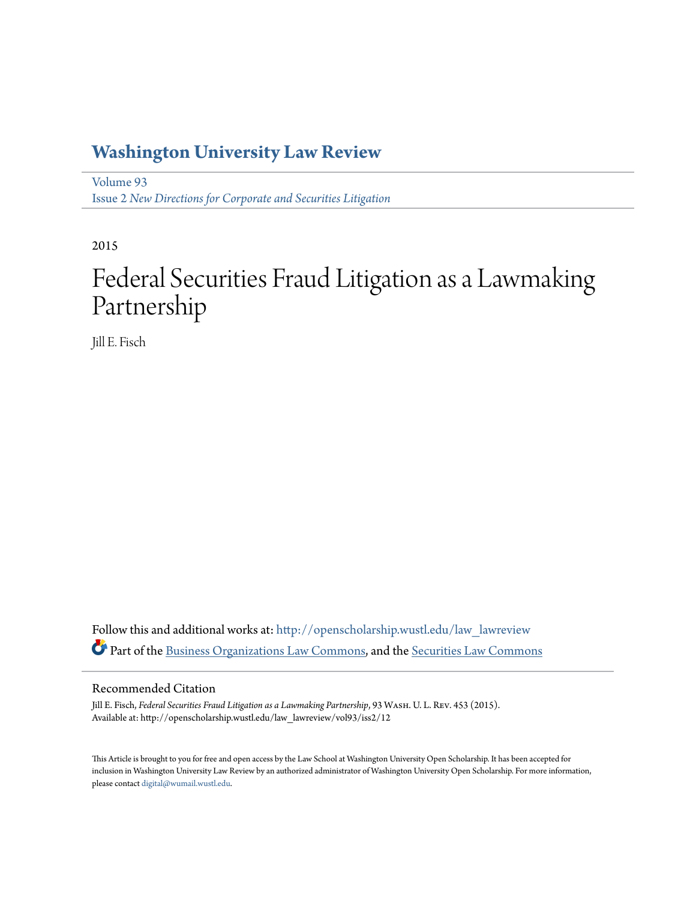## **[Washington University Law Review](http://openscholarship.wustl.edu/law_lawreview?utm_source=openscholarship.wustl.edu%2Flaw_lawreview%2Fvol93%2Fiss2%2F12&utm_medium=PDF&utm_campaign=PDFCoverPages)**

[Volume 93](http://openscholarship.wustl.edu/law_lawreview/vol93?utm_source=openscholarship.wustl.edu%2Flaw_lawreview%2Fvol93%2Fiss2%2F12&utm_medium=PDF&utm_campaign=PDFCoverPages) Issue 2 *[New Directions for Corporate and Securities Litigation](http://openscholarship.wustl.edu/law_lawreview/vol93/iss2?utm_source=openscholarship.wustl.edu%2Flaw_lawreview%2Fvol93%2Fiss2%2F12&utm_medium=PDF&utm_campaign=PDFCoverPages)*

2015

# Federal Securities Fraud Litigation as a Lawmaking Partnership

Jill E. Fisch

Follow this and additional works at: [http://openscholarship.wustl.edu/law\\_lawreview](http://openscholarship.wustl.edu/law_lawreview?utm_source=openscholarship.wustl.edu%2Flaw_lawreview%2Fvol93%2Fiss2%2F12&utm_medium=PDF&utm_campaign=PDFCoverPages) Part of the [Business Organizations Law Commons,](http://network.bepress.com/hgg/discipline/900?utm_source=openscholarship.wustl.edu%2Flaw_lawreview%2Fvol93%2Fiss2%2F12&utm_medium=PDF&utm_campaign=PDFCoverPages) and the [Securities Law Commons](http://network.bepress.com/hgg/discipline/619?utm_source=openscholarship.wustl.edu%2Flaw_lawreview%2Fvol93%2Fiss2%2F12&utm_medium=PDF&utm_campaign=PDFCoverPages)

#### Recommended Citation

Jill E. Fisch, *Federal Securities Fraud Litigation as a Lawmaking Partnership*, 93 Wash. U. L. Rev. 453 (2015). Available at: http://openscholarship.wustl.edu/law\_lawreview/vol93/iss2/12

This Article is brought to you for free and open access by the Law School at Washington University Open Scholarship. It has been accepted for inclusion in Washington University Law Review by an authorized administrator of Washington University Open Scholarship. For more information, please contact [digital@wumail.wustl.edu.](mailto:digital@wumail.wustl.edu)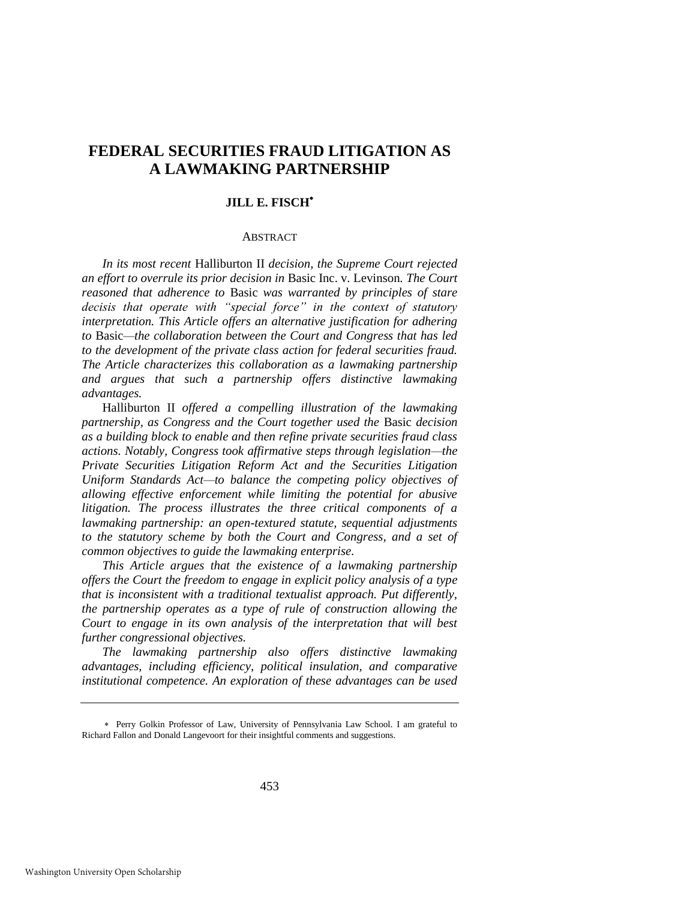### **FEDERAL SECURITIES FRAUD LITIGATION AS A LAWMAKING PARTNERSHIP**

#### **JILL E. FISCH**

#### ABSTRACT

*In its most recent* Halliburton II *decision, the Supreme Court rejected an effort to overrule its prior decision in* Basic Inc. v. Levinson*. The Court reasoned that adherence to* Basic *was warranted by principles of stare decisis that operate with "special force" in the context of statutory interpretation. This Article offers an alternative justification for adhering to* Basic*—the collaboration between the Court and Congress that has led to the development of the private class action for federal securities fraud. The Article characterizes this collaboration as a lawmaking partnership and argues that such a partnership offers distinctive lawmaking advantages.* 

Halliburton II *offered a compelling illustration of the lawmaking partnership, as Congress and the Court together used the* Basic *decision as a building block to enable and then refine private securities fraud class actions. Notably, Congress took affirmative steps through legislation—the Private Securities Litigation Reform Act and the Securities Litigation Uniform Standards Act—to balance the competing policy objectives of allowing effective enforcement while limiting the potential for abusive litigation. The process illustrates the three critical components of a lawmaking partnership: an open-textured statute, sequential adjustments to the statutory scheme by both the Court and Congress, and a set of common objectives to guide the lawmaking enterprise.* 

*This Article argues that the existence of a lawmaking partnership offers the Court the freedom to engage in explicit policy analysis of a type that is inconsistent with a traditional textualist approach. Put differently, the partnership operates as a type of rule of construction allowing the Court to engage in its own analysis of the interpretation that will best further congressional objectives.* 

*The lawmaking partnership also offers distinctive lawmaking advantages, including efficiency, political insulation, and comparative institutional competence. An exploration of these advantages can be used* 

Perry Golkin Professor of Law, University of Pennsylvania Law School. I am grateful to Richard Fallon and Donald Langevoort for their insightful comments and suggestions.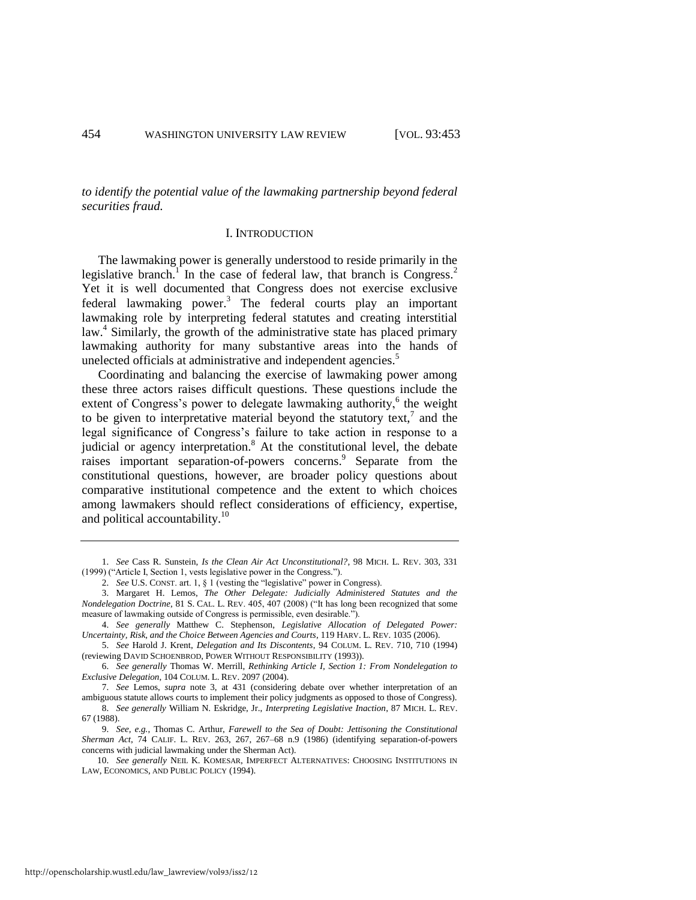*to identify the potential value of the lawmaking partnership beyond federal securities fraud.* 

#### <span id="page-2-2"></span><span id="page-2-0"></span>I. INTRODUCTION

The lawmaking power is generally understood to reside primarily in the legislative branch.<sup>1</sup> In the case of federal law, that branch is Congress.<sup>2</sup> Yet it is well documented that Congress does not exercise exclusive federal lawmaking power.<sup>3</sup> The federal courts play an important lawmaking role by interpreting federal statutes and creating interstitial law.<sup>4</sup> Similarly, the growth of the administrative state has placed primary lawmaking authority for many substantive areas into the hands of unelected officials at administrative and independent agencies.<sup>5</sup>

<span id="page-2-1"></span>Coordinating and balancing the exercise of lawmaking power among these three actors raises difficult questions. These questions include the extent of Congress's power to delegate lawmaking authority,<sup>6</sup> the weight to be given to interpretative material beyond the statutory text, $\bar{j}$  and the legal significance of Congress's failure to take action in response to a judicial or agency interpretation.<sup>8</sup> At the constitutional level, the debate raises important separation-of-powers concerns.<sup>9</sup> Separate from the constitutional questions, however, are broader policy questions about comparative institutional competence and the extent to which choices among lawmakers should reflect considerations of efficiency, expertise, and political accountability.<sup>10</sup>

7. *See* Lemos, *supra* note [3,](#page-2-0) at 431 (considering debate over whether interpretation of an ambiguous statute allows courts to implement their policy judgments as opposed to those of Congress).

9. *See, e.g.*, Thomas C. Arthur, *Farewell to the Sea of Doubt: Jettisoning the Constitutional Sherman Act*, 74 CALIF. L. REV. 263, 267, 267–68 n.9 (1986) (identifying separation-of-powers concerns with judicial lawmaking under the Sherman Act).

http://openscholarship.wustl.edu/law\_lawreview/vol93/iss2/12

<sup>1.</sup> *See* Cass R. Sunstein, *Is the Clean Air Act Unconstitutional?*, 98 MICH. L. REV. 303, 331 (1999) ("Article I, Section 1, vests legislative power in the Congress.").

<sup>2.</sup> *See* U.S. CONST. art. 1, § 1 (vesting the "legislative" power in Congress).

<sup>3.</sup> Margaret H. Lemos, *The Other Delegate: Judicially Administered Statutes and the Nondelegation Doctrine*, 81 S. CAL. L. REV. 405, 407 (2008) ("It has long been recognized that some measure of lawmaking outside of Congress is permissible, even desirable.").

<sup>4.</sup> *See generally* Matthew C. Stephenson, *Legislative Allocation of Delegated Power: Uncertainty, Risk, and the Choice Between Agencies and Courts*, 119 HARV. L. REV. 1035 (2006).

<sup>5.</sup> *See* Harold J. Krent, *Delegation and Its Discontents*, 94 COLUM. L. REV. 710, 710 (1994) (reviewing DAVID SCHOENBROD, POWER WITHOUT RESPONSIBILITY (1993)).

<sup>6.</sup> *See generally* Thomas W. Merrill, *Rethinking Article I, Section 1: From Nondelegation to Exclusive Delegation*, 104 COLUM. L. REV. 2097 (2004).

<sup>8.</sup> *See generally* William N. Eskridge, Jr., *Interpreting Legislative Inaction*, 87 MICH. L. REV. 67 (1988).

<sup>10.</sup> *See generally* NEIL K. KOMESAR, IMPERFECT ALTERNATIVES: CHOOSING INSTITUTIONS IN LAW, ECONOMICS, AND PUBLIC POLICY (1994).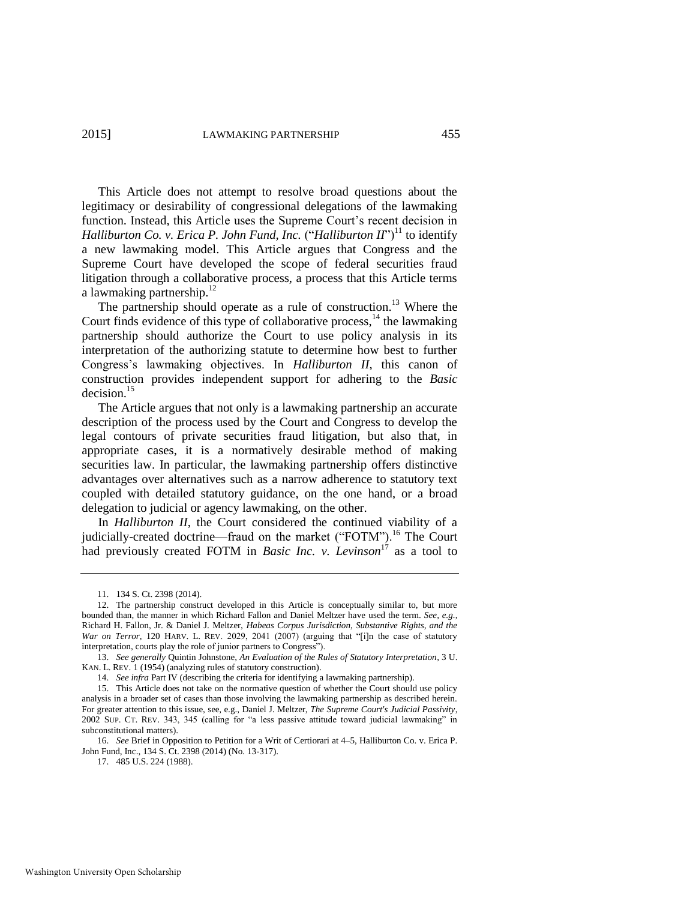This Article does not attempt to resolve broad questions about the legitimacy or desirability of congressional delegations of the lawmaking function. Instead, this Article uses the Supreme Court's recent decision in *Halliburton Co. v. Erica P. John Fund, Inc.* ("*Halliburton II*")<sup>11</sup> to identify a new lawmaking model. This Article argues that Congress and the Supreme Court have developed the scope of federal securities fraud litigation through a collaborative process, a process that this Article terms a lawmaking partnership. $^{12}$ 

The partnership should operate as a rule of construction.<sup>13</sup> Where the Court finds evidence of this type of collaborative process, $14$  the lawmaking partnership should authorize the Court to use policy analysis in its interpretation of the authorizing statute to determine how best to further Congress's lawmaking objectives. In *Halliburton II*, this canon of construction provides independent support for adhering to the *Basic* decision.<sup>15</sup>

<span id="page-3-0"></span>The Article argues that not only is a lawmaking partnership an accurate description of the process used by the Court and Congress to develop the legal contours of private securities fraud litigation, but also that, in appropriate cases, it is a normatively desirable method of making securities law. In particular, the lawmaking partnership offers distinctive advantages over alternatives such as a narrow adherence to statutory text coupled with detailed statutory guidance, on the one hand, or a broad delegation to judicial or agency lawmaking, on the other.

In *Halliburton II*, the Court considered the continued viability of a judicially-created doctrine—fraud on the market ("FOTM").<sup>16</sup> The Court had previously created FOTM in *Basic Inc. v. Levinson*<sup>17</sup> as a tool to

<sup>11. 134</sup> S. Ct. 2398 (2014).

<sup>12.</sup> The partnership construct developed in this Article is conceptually similar to, but more bounded than, the manner in which Richard Fallon and Daniel Meltzer have used the term. *See, e.g.*, Richard H. Fallon, Jr. & Daniel J. Meltzer, *Habeas Corpus Jurisdiction, Substantive Rights, and the War on Terror*, 120 HARV. L. REV. 2029, 2041 (2007) (arguing that "[i]n the case of statutory interpretation, courts play the role of junior partners to Congress").

<sup>13.</sup> *See generally* Quintin Johnstone, *An Evaluation of the Rules of Statutory Interpretation*, 3 U. KAN. L. REV. 1 (1954) (analyzing rules of statutory construction).

<sup>14.</sup> *See infra* Part IV (describing the criteria for identifying a lawmaking partnership).

<sup>15.</sup> This Article does not take on the normative question of whether the Court should use policy analysis in a broader set of cases than those involving the lawmaking partnership as described herein. For greater attention to this issue, see, e.g., Daniel J. Meltzer, *The Supreme Court's Judicial Passivity*, 2002 SUP. CT. REV. 343, 345 (calling for "a less passive attitude toward judicial lawmaking" in subconstitutional matters).

<sup>16.</sup> *See* Brief in Opposition to Petition for a Writ of Certiorari at 4–5, Halliburton Co. v. Erica P. John Fund, Inc., 134 S. Ct. 2398 (2014) (No. 13-317).

<sup>17. 485</sup> U.S. 224 (1988).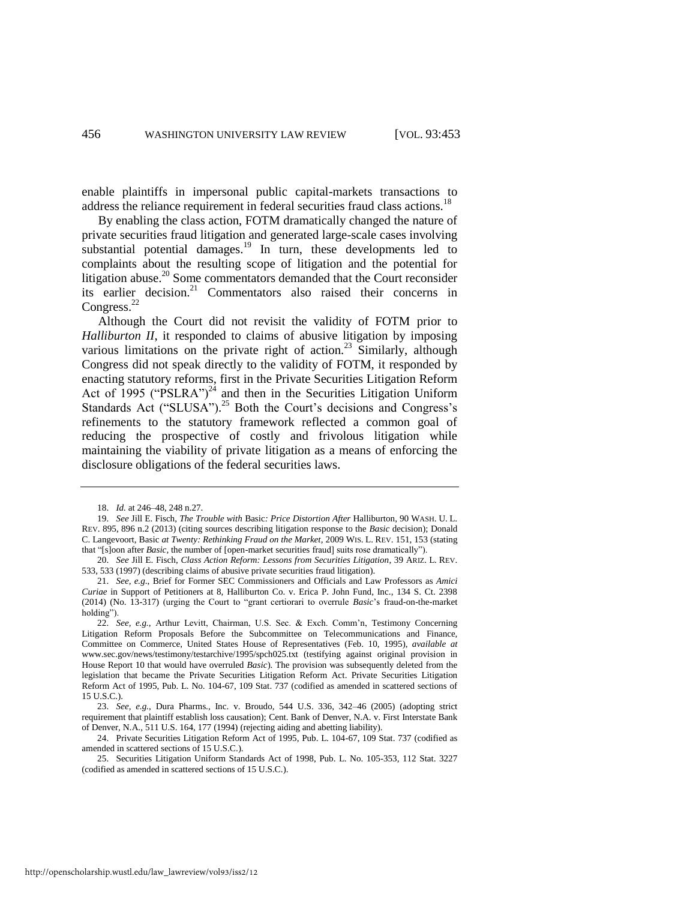enable plaintiffs in impersonal public capital-markets transactions to address the reliance requirement in federal securities fraud class actions.<sup>18</sup>

<span id="page-4-0"></span>By enabling the class action, FOTM dramatically changed the nature of private securities fraud litigation and generated large-scale cases involving substantial potential damages. $19$  In turn, these developments led to complaints about the resulting scope of litigation and the potential for litigation abuse.<sup>20</sup> Some commentators demanded that the Court reconsider its earlier decision.<sup>21</sup> Commentators also raised their concerns in Congress.<sup>22</sup>

<span id="page-4-1"></span>Although the Court did not revisit the validity of FOTM prior to *Halliburton II*, it responded to claims of abusive litigation by imposing various limitations on the private right of action.<sup>23</sup> Similarly, although Congress did not speak directly to the validity of FOTM, it responded by enacting statutory reforms, first in the Private Securities Litigation Reform Act of 1995 ("PSLRA")<sup>24</sup> and then in the Securities Litigation Uniform Standards Act ("SLUSA").<sup>25</sup> Both the Court's decisions and Congress's refinements to the statutory framework reflected a common goal of reducing the prospective of costly and frivolous litigation while maintaining the viability of private litigation as a means of enforcing the disclosure obligations of the federal securities laws.

<sup>18.</sup> *Id.* at 246–48, 248 n.27.

<sup>19.</sup> *See* Jill E. Fisch, *The Trouble with* Basic*: Price Distortion After* Halliburton, 90 WASH. U. L. REV. 895, 896 n.2 (2013) (citing sources describing litigation response to the *Basic* decision); Donald C. Langevoort, Basic *at Twenty: Rethinking Fraud on the Market*, 2009 WIS. L. REV. 151, 153 (stating that "[s]oon after *Basic*, the number of [open-market securities fraud] suits rose dramatically").

<sup>20.</sup> *See* Jill E. Fisch, *Class Action Reform: Lessons from Securities Litigation*, 39 ARIZ. L. REV. 533, 533 (1997) (describing claims of abusive private securities fraud litigation).

<sup>21.</sup> *See, e.g*., Brief for Former SEC Commissioners and Officials and Law Professors as *Amici Curiae* in Support of Petitioners at 8, Halliburton Co. v. Erica P. John Fund, Inc., 134 S. Ct. 2398 (2014) (No. 13-317) (urging the Court to "grant certiorari to overrule *Basic*'s fraud-on-the-market holding").

<sup>22.</sup> *See, e.g.*, Arthur Levitt, Chairman, U.S. Sec. & Exch. Comm'n, Testimony Concerning Litigation Reform Proposals Before the Subcommittee on Telecommunications and Finance, Committee on Commerce, United States House of Representatives (Feb. 10, 1995), *available at* www.sec.gov/news/testimony/testarchive/1995/spch025.txt (testifying against original provision in House Report 10 that would have overruled *Basic*). The provision was subsequently deleted from the legislation that became the Private Securities Litigation Reform Act. Private Securities Litigation Reform Act of 1995, Pub. L. No. 104-67, 109 Stat. 737 (codified as amended in scattered sections of 15 U.S.C.).

<sup>23.</sup> *See, e.g.*, Dura Pharms., Inc. v. Broudo, 544 U.S. 336, 342–46 (2005) (adopting strict requirement that plaintiff establish loss causation); Cent. Bank of Denver, N.A. v. First Interstate Bank of Denver, N.A., 511 U.S. 164, 177 (1994) (rejecting aiding and abetting liability).

<sup>24.</sup> Private Securities Litigation Reform Act of 1995, Pub. L. 104-67, 109 Stat. 737 (codified as amended in scattered sections of 15 U.S.C.).

<sup>25.</sup> Securities Litigation Uniform Standards Act of 1998, Pub. L. No. 105-353, 112 Stat. 3227 (codified as amended in scattered sections of 15 U.S.C.).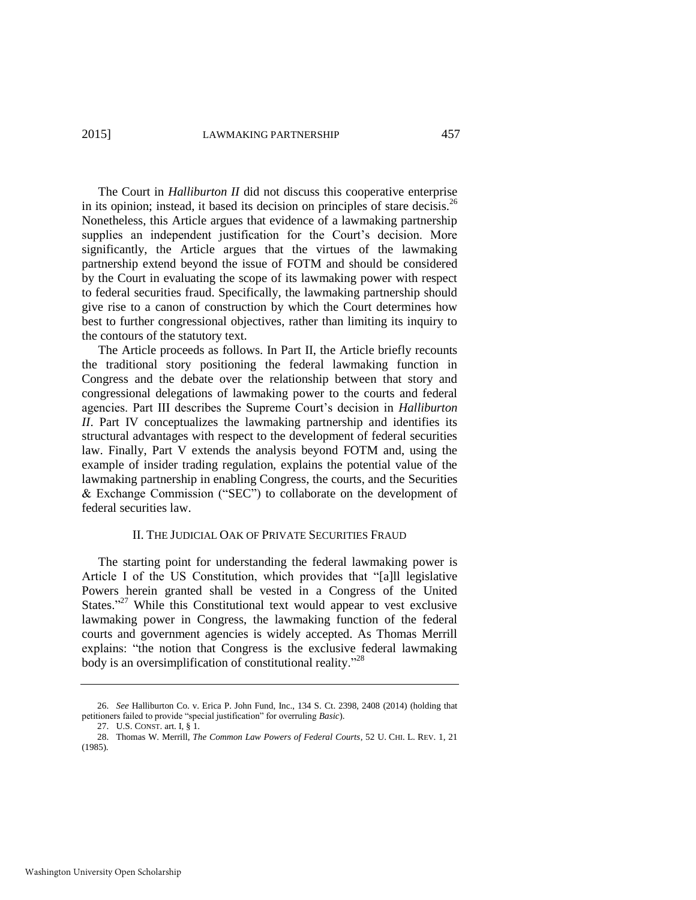The Court in *Halliburton II* did not discuss this cooperative enterprise in its opinion; instead, it based its decision on principles of stare decisis.<sup>26</sup> Nonetheless, this Article argues that evidence of a lawmaking partnership supplies an independent justification for the Court's decision. More significantly, the Article argues that the virtues of the lawmaking partnership extend beyond the issue of FOTM and should be considered by the Court in evaluating the scope of its lawmaking power with respect to federal securities fraud. Specifically, the lawmaking partnership should give rise to a canon of construction by which the Court determines how best to further congressional objectives, rather than limiting its inquiry to the contours of the statutory text.

The Article proceeds as follows. In Part II, the Article briefly recounts the traditional story positioning the federal lawmaking function in Congress and the debate over the relationship between that story and congressional delegations of lawmaking power to the courts and federal agencies. Part III describes the Supreme Court's decision in *Halliburton II*. Part IV conceptualizes the lawmaking partnership and identifies its structural advantages with respect to the development of federal securities law. Finally, Part V extends the analysis beyond FOTM and, using the example of insider trading regulation, explains the potential value of the lawmaking partnership in enabling Congress, the courts, and the Securities & Exchange Commission ("SEC") to collaborate on the development of federal securities law.

#### II. THE JUDICIAL OAK OF PRIVATE SECURITIES FRAUD

The starting point for understanding the federal lawmaking power is Article I of the US Constitution, which provides that "[a]ll legislative Powers herein granted shall be vested in a Congress of the United States."<sup>27</sup> While this Constitutional text would appear to vest exclusive lawmaking power in Congress, the lawmaking function of the federal courts and government agencies is widely accepted. As Thomas Merrill explains: "the notion that Congress is the exclusive federal lawmaking body is an oversimplification of constitutional reality."<sup>28</sup>

<sup>26.</sup> *See* Halliburton Co. v. Erica P. John Fund, Inc., 134 S. Ct. 2398, 2408 (2014) (holding that petitioners failed to provide "special justification" for overruling *Basic*).

<sup>27.</sup> U.S. CONST. art. I, § 1.

<sup>28.</sup> Thomas W. Merrill, *The Common Law Powers of Federal Courts*, 52 U. CHI. L. REV. 1, 21 (1985).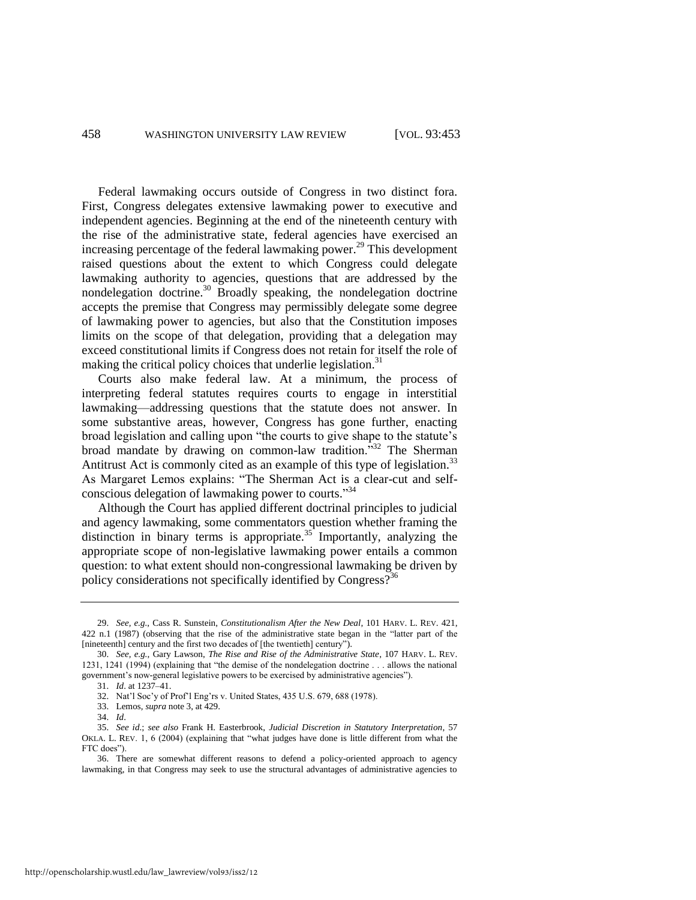Federal lawmaking occurs outside of Congress in two distinct fora. First, Congress delegates extensive lawmaking power to executive and independent agencies. Beginning at the end of the nineteenth century with the rise of the administrative state, federal agencies have exercised an increasing percentage of the federal lawmaking power.<sup>29</sup> This development raised questions about the extent to which Congress could delegate lawmaking authority to agencies, questions that are addressed by the nondelegation doctrine.<sup>30</sup> Broadly speaking, the nondelegation doctrine accepts the premise that Congress may permissibly delegate some degree of lawmaking power to agencies, but also that the Constitution imposes limits on the scope of that delegation, providing that a delegation may exceed constitutional limits if Congress does not retain for itself the role of making the critical policy choices that underlie legislation.<sup>31</sup>

Courts also make federal law. At a minimum, the process of interpreting federal statutes requires courts to engage in interstitial lawmaking—addressing questions that the statute does not answer. In some substantive areas, however, Congress has gone further, enacting broad legislation and calling upon "the courts to give shape to the statute's broad mandate by drawing on common-law tradition."<sup>32</sup> The Sherman Antitrust Act is commonly cited as an example of this type of legislation.<sup>33</sup> As Margaret Lemos explains: "The Sherman Act is a clear-cut and selfconscious delegation of lawmaking power to courts." 34

Although the Court has applied different doctrinal principles to judicial and agency lawmaking, some commentators question whether framing the distinction in binary terms is appropriate.<sup>35</sup> Importantly, analyzing the appropriate scope of non-legislative lawmaking power entails a common question: to what extent should non-congressional lawmaking be driven by policy considerations not specifically identified by Congress?<sup>36</sup>

http://openscholarship.wustl.edu/law\_lawreview/vol93/iss2/12

<sup>29.</sup> *See, e.g.*, Cass R. Sunstein, *Constitutionalism After the New Deal*, 101 HARV. L. REV. 421, 422 n.1 (1987) (observing that the rise of the administrative state began in the "latter part of the [nineteenth] century and the first two decades of [the twentieth] century").

<sup>30.</sup> *See, e.g.*, Gary Lawson, *The Rise and Rise of the Administrative State*, 107 HARV. L. REV. 1231, 1241 (1994) (explaining that "the demise of the nondelegation doctrine . . . allows the national government's now-general legislative powers to be exercised by administrative agencies").

<sup>31.</sup> *Id*. at 1237–41.

<sup>32.</sup> Nat'l Soc'y of Prof'l Eng'rs v. United States, 435 U.S. 679, 688 (1978).

<sup>33.</sup> Lemos, *supra* not[e 3,](#page-2-0) at 429.

<sup>34.</sup> *Id*.

<sup>35.</sup> *See id*.; *see also* Frank H. Easterbrook, *Judicial Discretion in Statutory Interpretation*, 57 OKLA. L. REV. 1, 6 (2004) (explaining that "what judges have done is little different from what the FTC does").

<sup>36.</sup> There are somewhat different reasons to defend a policy-oriented approach to agency lawmaking, in that Congress may seek to use the structural advantages of administrative agencies to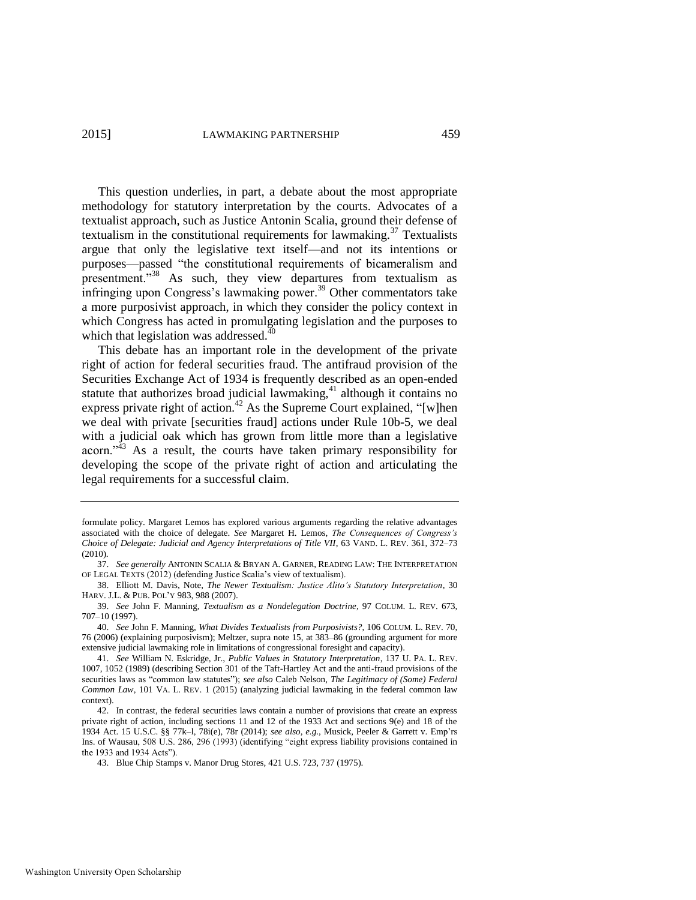This question underlies, in part, a debate about the most appropriate methodology for statutory interpretation by the courts. Advocates of a textualist approach, such as Justice Antonin Scalia, ground their defense of textualism in the constitutional requirements for lawmaking.<sup>37</sup> Textualists argue that only the legislative text itself—and not its intentions or purposes—passed "the constitutional requirements of bicameralism and presentment."<sup>38</sup> As such, they view departures from textualism as infringing upon Congress's lawmaking power.<sup>39</sup> Other commentators take a more purposivist approach, in which they consider the policy context in which Congress has acted in promulgating legislation and the purposes to which that legislation was addressed.<sup>40</sup>

<span id="page-7-0"></span>This debate has an important role in the development of the private right of action for federal securities fraud. The antifraud provision of the Securities Exchange Act of 1934 is frequently described as an open-ended statute that authorizes broad judicial lawmaking, $41$  although it contains no express private right of action.<sup>42</sup> As the Supreme Court explained, "[w]hen we deal with private [securities fraud] actions under Rule 10b-5, we deal with a judicial oak which has grown from little more than a legislative acorn."<sup>43</sup> As a result, the courts have taken primary responsibility for developing the scope of the private right of action and articulating the legal requirements for a successful claim.

formulate policy. Margaret Lemos has explored various arguments regarding the relative advantages associated with the choice of delegate. *See* Margaret H. Lemos, *The Consequences of Congress's Choice of Delegate: Judicial and Agency Interpretations of Title VII*, 63 VAND. L. REV. 361, 372–73 (2010).

<sup>37.</sup> *See generally* ANTONIN SCALIA & BRYAN A. GARNER, READING LAW: THE INTERPRETATION OF LEGAL TEXTS (2012) (defending Justice Scalia's view of textualism).

<sup>38.</sup> Elliott M. Davis, Note, *The Newer Textualism: Justice Alito's Statutory Interpretation*, 30 HARV. J.L. & PUB. POL'Y 983, 988 (2007).

<sup>39.</sup> *See* John F. Manning, *Textualism as a Nondelegation Doctrine*, 97 COLUM. L. REV. 673, 707–10 (1997).

<sup>40.</sup> *See* John F. Manning, *What Divides Textualists from Purposivists?*, 106 COLUM. L. REV. 70, 76 (2006) (explaining purposivism); Meltzer, supra note [15,](#page-3-0) at 383–86 (grounding argument for more extensive judicial lawmaking role in limitations of congressional foresight and capacity).

<sup>41.</sup> *See* William N. Eskridge, Jr., *Public Values in Statutory Interpretation*, 137 U. PA. L. REV. 1007, 1052 (1989) (describing Section 301 of the Taft-Hartley Act and the anti-fraud provisions of the securities laws as "common law statutes"); *see also* Caleb Nelson, *The Legitimacy of (Some) Federal Common Law*, 101 VA. L. REV. 1 (2015) (analyzing judicial lawmaking in the federal common law context).

<sup>42.</sup> In contrast, the federal securities laws contain a number of provisions that create an express private right of action, including sections 11 and 12 of the 1933 Act and sections 9(e) and 18 of the 1934 Act. 15 U.S.C. §§ 77k–l, 78i(e), 78r (2014); *see also, e.g.*, Musick, Peeler & Garrett v. Emp'rs Ins. of Wausau, 508 U.S. 286, 296 (1993) (identifying "eight express liability provisions contained in the 1933 and 1934 Acts").

<sup>43.</sup> Blue Chip Stamps v. Manor Drug Stores, 421 U.S. 723, 737 (1975).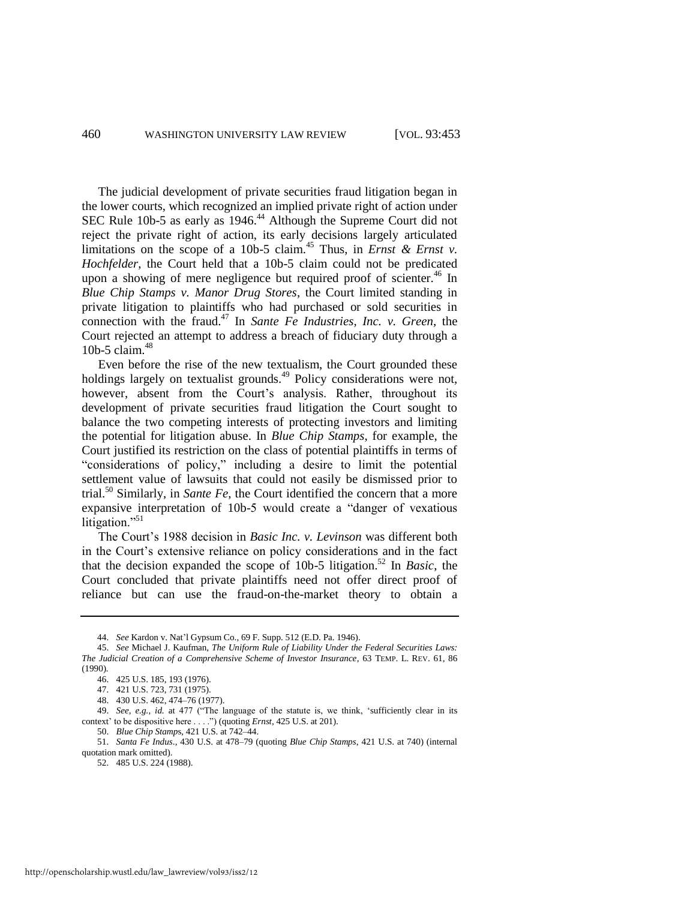The judicial development of private securities fraud litigation began in the lower courts, which recognized an implied private right of action under SEC Rule 10b-5 as early as 1946.<sup>44</sup> Although the Supreme Court did not reject the private right of action, its early decisions largely articulated limitations on the scope of a 10b-5 claim.<sup>45</sup> Thus, in *Ernst & Ernst v*. *Hochfelder*, the Court held that a 10b-5 claim could not be predicated upon a showing of mere negligence but required proof of scienter.<sup>46</sup> In *Blue Chip Stamps v. Manor Drug Stores*, the Court limited standing in private litigation to plaintiffs who had purchased or sold securities in connection with the fraud.<sup>47</sup> In *Sante Fe Industries, Inc. v. Green*, the Court rejected an attempt to address a breach of fiduciary duty through a 10b-5 claim. $48$ 

Even before the rise of the new textualism, the Court grounded these holdings largely on textualist grounds.<sup>49</sup> Policy considerations were not, however, absent from the Court's analysis. Rather, throughout its development of private securities fraud litigation the Court sought to balance the two competing interests of protecting investors and limiting the potential for litigation abuse. In *Blue Chip Stamps*, for example, the Court justified its restriction on the class of potential plaintiffs in terms of "considerations of policy," including a desire to limit the potential settlement value of lawsuits that could not easily be dismissed prior to trial.<sup>50</sup> Similarly, in *Sante Fe*, the Court identified the concern that a more expansive interpretation of 10b-5 would create a "danger of vexatious litigation."<sup>51</sup>

The Court's 1988 decision in *Basic Inc. v. Levinson* was different both in the Court's extensive reliance on policy considerations and in the fact that the decision expanded the scope of 10b-5 litigation.<sup>52</sup> In *Basic*, the Court concluded that private plaintiffs need not offer direct proof of reliance but can use the fraud-on-the-market theory to obtain a

<sup>44.</sup> *See* Kardon v. Nat'l Gypsum Co., 69 F. Supp. 512 (E.D. Pa. 1946).

<sup>45.</sup> *See* Michael J. Kaufman, *The Uniform Rule of Liability Under the Federal Securities Laws: The Judicial Creation of a Comprehensive Scheme of Investor Insurance*, 63 TEMP. L. REV. 61, 86 (1990).

<sup>46. 425</sup> U.S. 185, 193 (1976).

<sup>47. 421</sup> U.S. 723, 731 (1975).

<sup>48. 430</sup> U.S. 462, 474–76 (1977).

<sup>49.</sup> *See, e.g.*, *id.* at 477 ("The language of the statute is, we think, 'sufficiently clear in its context' to be dispositive here . . . .") (quoting *Ernst*, 425 U.S. at 201).

<sup>50.</sup> *Blue Chip Stamp*s, 421 U.S. at 742–44.

<sup>51.</sup> *Santa Fe Indus*., 430 U.S. at 478–79 (quoting *Blue Chip Stamps*, 421 U.S. at 740) (internal quotation mark omitted).

<sup>52. 485</sup> U.S. 224 (1988).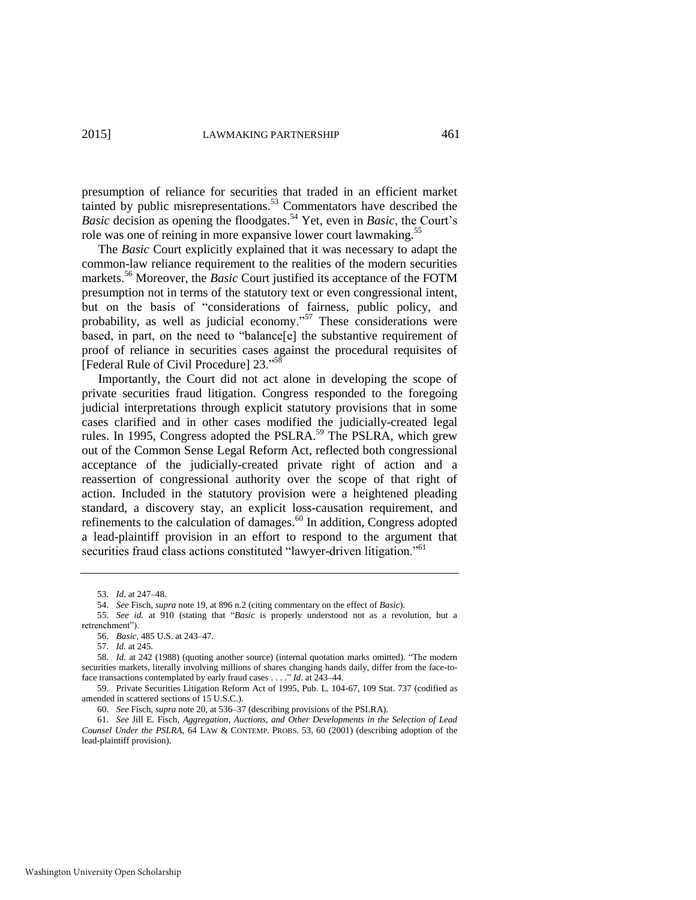presumption of reliance for securities that traded in an efficient market tainted by public misrepresentations.<sup>53</sup> Commentators have described the *Basic* decision as opening the floodgates.<sup>54</sup> Yet, even in *Basic*, the Court's role was one of reining in more expansive lower court lawmaking.<sup>55</sup>

The *Basic* Court explicitly explained that it was necessary to adapt the common-law reliance requirement to the realities of the modern securities markets.<sup>56</sup> Moreover, the *Basic* Court justified its acceptance of the FOTM presumption not in terms of the statutory text or even congressional intent, but on the basis of "considerations of fairness, public policy, and probability, as well as judicial economy."<sup>57</sup> These considerations were based, in part, on the need to "balance[e] the substantive requirement of proof of reliance in securities cases against the procedural requisites of [Federal Rule of Civil Procedure] 23."<sup>58</sup>

Importantly, the Court did not act alone in developing the scope of private securities fraud litigation. Congress responded to the foregoing judicial interpretations through explicit statutory provisions that in some cases clarified and in other cases modified the judicially-created legal rules. In 1995, Congress adopted the PSLRA.<sup>59</sup> The PSLRA, which grew out of the Common Sense Legal Reform Act, reflected both congressional acceptance of the judicially-created private right of action and a reassertion of congressional authority over the scope of that right of action. Included in the statutory provision were a heightened pleading standard, a discovery stay, an explicit loss-causation requirement, and refinements to the calculation of damages.<sup>60</sup> In addition, Congress adopted a lead-plaintiff provision in an effort to respond to the argument that securities fraud class actions constituted "lawyer-driven litigation."<sup>61</sup>

<sup>53.</sup> *Id*. at 247–48.

<sup>54.</sup> *See* Fisch, *supra* not[e 19,](#page-4-0) at 896 n.2 (citing commentary on the effect of *Basic*).

<sup>55.</sup> *See id.* at 910 (stating that "*Basic* is properly understood not as a revolution, but a retrenchment").

<sup>56.</sup> *Basic*, 485 U.S. at 243–47.

<sup>57.</sup> *Id.* at 245.

<sup>58.</sup> *Id.* at 242 (1988) (quoting another source) (internal quotation marks omitted). "The modern securities markets, literally involving millions of shares changing hands daily, differ from the face-toface transactions contemplated by early fraud cases . . . ." *Id*. at 243–44.

<sup>59.</sup> Private Securities Litigation Reform Act of 1995, Pub. L. 104-67, 109 Stat. 737 (codified as amended in scattered sections of 15 U.S.C.).

<sup>60.</sup> *See* Fisch, *supra* not[e 20,](#page-4-1) at 536–37 (describing provisions of the PSLRA).

<sup>61.</sup> *See* Jill E. Fisch, *Aggregation, Auctions, and Other Developments in the Selection of Lead Counsel Under the PSLRA*, 64 LAW & CONTEMP. PROBS. 53, 60 (2001) (describing adoption of the lead-plaintiff provision).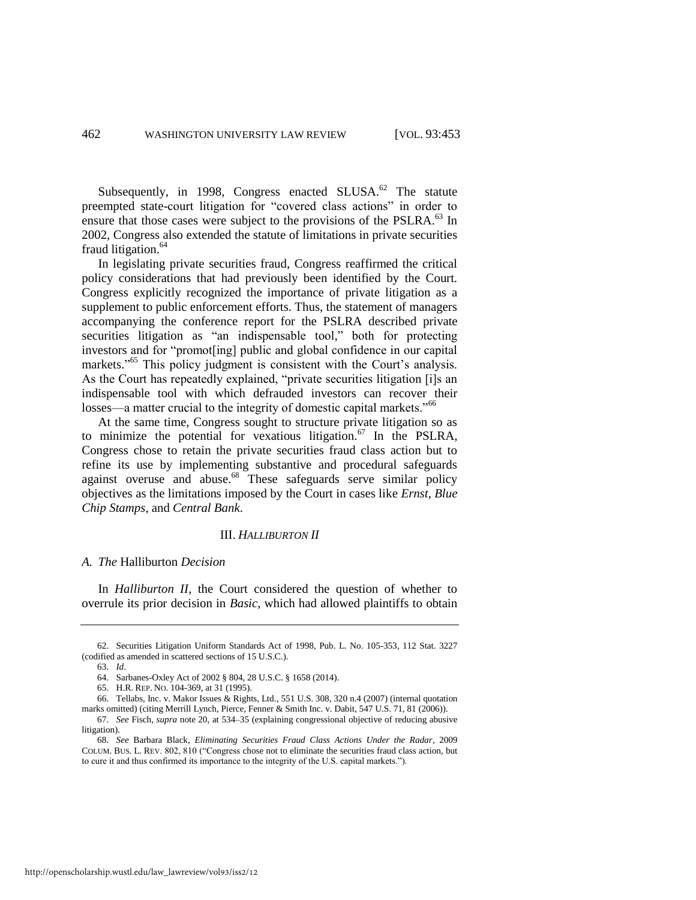Subsequently, in 1998, Congress enacted SLUSA. $^{62}$  The statute preempted state-court litigation for "covered class actions" in order to ensure that those cases were subject to the provisions of the PSLRA.<sup>63</sup> In 2002, Congress also extended the statute of limitations in private securities fraud litigation.<sup>64</sup>

In legislating private securities fraud, Congress reaffirmed the critical policy considerations that had previously been identified by the Court. Congress explicitly recognized the importance of private litigation as a supplement to public enforcement efforts. Thus, the statement of managers accompanying the conference report for the PSLRA described private securities litigation as "an indispensable tool," both for protecting investors and for "promot[ing] public and global confidence in our capital markets."<sup>65</sup> This policy judgment is consistent with the Court's analysis. As the Court has repeatedly explained, "private securities litigation [i]s an indispensable tool with which defrauded investors can recover their losses—a matter crucial to the integrity of domestic capital markets."<sup>66</sup>

At the same time, Congress sought to structure private litigation so as to minimize the potential for vexatious litigation. $67$  In the PSLRA, Congress chose to retain the private securities fraud class action but to refine its use by implementing substantive and procedural safeguards against overuse and abuse.<sup>68</sup> These safeguards serve similar policy objectives as the limitations imposed by the Court in cases like *Ernst*, *Blue Chip Stamps*, and *Central Bank*.

#### <span id="page-10-0"></span>III. *HALLIBURTON II*

#### *A. The* Halliburton *Decision*

In *Halliburton II*, the Court considered the question of whether to overrule its prior decision in *Basic*, which had allowed plaintiffs to obtain

<sup>62.</sup> Securities Litigation Uniform Standards Act of 1998, Pub. L. No. 105-353, 112 Stat. 3227 (codified as amended in scattered sections of 15 U.S.C.).

<sup>63.</sup> *Id*.

<sup>64.</sup> Sarbanes-Oxley Act of 2002 § 804, 28 U.S.C. § 1658 (2014).

<sup>65.</sup> H.R. REP. NO. 104-369, at 31 (1995).

<sup>66.</sup> Tellabs, Inc. v. Makor Issues & Rights, Ltd., 551 U.S. 308, 320 n.4 (2007) (internal quotation marks omitted) (citing Merrill Lynch, Pierce, Fenner & Smith Inc. v. Dabit, 547 U.S. 71, 81 (2006)).

<sup>67.</sup> *See* Fisch, *supra* not[e 20,](#page-4-1) at 534–35 (explaining congressional objective of reducing abusive litigation).

<sup>68.</sup> *See* Barbara Black, *Eliminating Securities Fraud Class Actions Under the Radar*, 2009 COLUM. BUS. L. REV. 802, 810 ("Congress chose not to eliminate the securities fraud class action, but to cure it and thus confirmed its importance to the integrity of the U.S. capital markets.").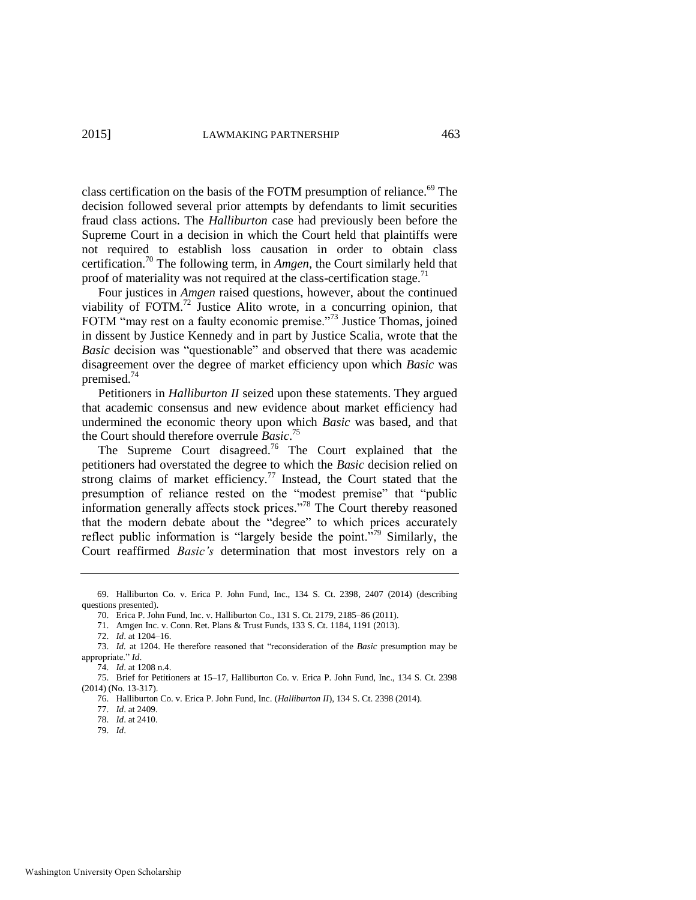class certification on the basis of the FOTM presumption of reliance.<sup>69</sup> The decision followed several prior attempts by defendants to limit securities fraud class actions. The *Halliburton* case had previously been before the Supreme Court in a decision in which the Court held that plaintiffs were not required to establish loss causation in order to obtain class certification.<sup>70</sup> The following term, in *Amgen*, the Court similarly held that proof of materiality was not required at the class-certification stage.<sup>71</sup>

Four justices in *Amgen* raised questions, however, about the continued viability of FOTM.<sup>72</sup> Justice Alito wrote, in a concurring opinion, that FOTM "may rest on a faulty economic premise."<sup>73</sup> Justice Thomas, joined in dissent by Justice Kennedy and in part by Justice Scalia, wrote that the *Basic* decision was "questionable" and observed that there was academic disagreement over the degree of market efficiency upon which *Basic* was premised.<sup>74</sup>

Petitioners in *Halliburton II* seized upon these statements. They argued that academic consensus and new evidence about market efficiency had undermined the economic theory upon which *Basic* was based, and that the Court should therefore overrule *Basic*. 75

The Supreme Court disagreed.<sup>76</sup> The Court explained that the petitioners had overstated the degree to which the *Basic* decision relied on strong claims of market efficiency.<sup>77</sup> Instead, the Court stated that the presumption of reliance rested on the "modest premise" that "public information generally affects stock prices."<sup>78</sup> The Court thereby reasoned that the modern debate about the "degree" to which prices accurately reflect public information is "largely beside the point."<sup>79</sup> Similarly, the Court reaffirmed *Basic's* determination that most investors rely on a

71. Amgen Inc. v. Conn. Ret. Plans & Trust Funds, 133 S. Ct. 1184, 1191 (2013).

<sup>69.</sup> Halliburton Co. v. Erica P. John Fund, Inc., 134 S. Ct. 2398, 2407 (2014) (describing questions presented).

<sup>70.</sup> Erica P. John Fund, Inc. v. Halliburton Co., 131 S. Ct. 2179, 2185–86 (2011).

<sup>72.</sup> *Id*. at 1204–16.

<sup>73.</sup> *Id.* at 1204. He therefore reasoned that "reconsideration of the *Basic* presumption may be appropriate." *Id*.

<sup>74.</sup> *Id*. at 1208 n.4.

<sup>75.</sup> Brief for Petitioners at 15–17, Halliburton Co. v. Erica P. John Fund, Inc., 134 S. Ct. 2398 (2014) (No. 13-317).

<sup>76.</sup> Halliburton Co. v. Erica P. John Fund, Inc. (*Halliburton II*), 134 S. Ct. 2398 (2014).

<sup>77.</sup> *Id*. at 2409.

<sup>78.</sup> *Id*. at 2410. 79. *Id*.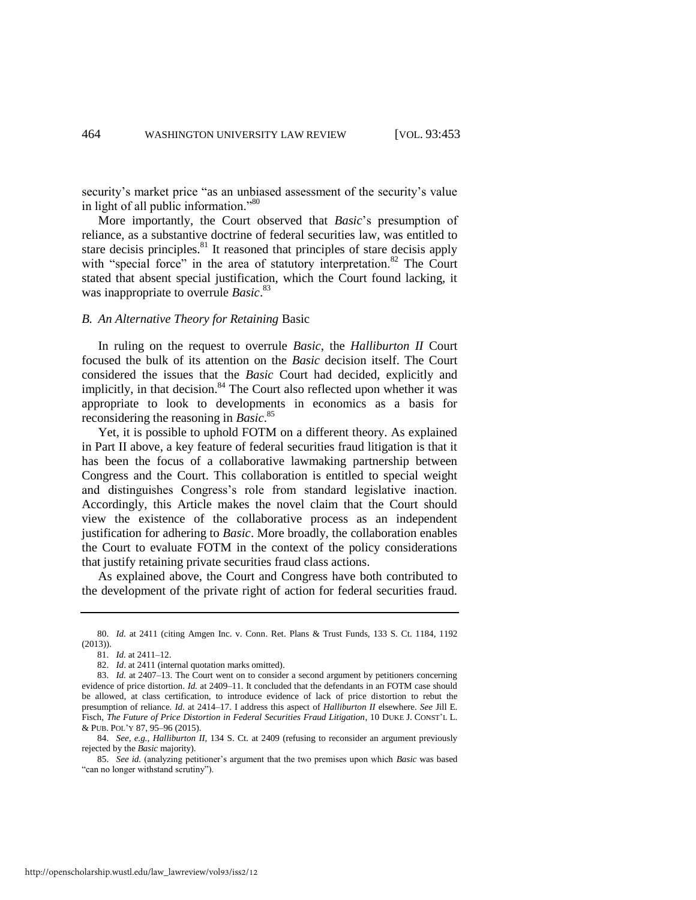security's market price "as an unbiased assessment of the security's value in light of all public information."<sup>80</sup>

More importantly, the Court observed that *Basic*'s presumption of reliance, as a substantive doctrine of federal securities law, was entitled to stare decisis principles. $81$  It reasoned that principles of stare decisis apply with "special force" in the area of statutory interpretation.<sup>82</sup> The Court stated that absent special justification, which the Court found lacking, it was inappropriate to overrule *Basic*. 83

#### *B. An Alternative Theory for Retaining* Basic

In ruling on the request to overrule *Basic*, the *Halliburton II* Court focused the bulk of its attention on the *Basic* decision itself. The Court considered the issues that the *Basic* Court had decided, explicitly and implicitly, in that decision.<sup>84</sup> The Court also reflected upon whether it was appropriate to look to developments in economics as a basis for reconsidering the reasoning in *Basic*. 85

Yet, it is possible to uphold FOTM on a different theory. As explained in Part II above, a key feature of federal securities fraud litigation is that it has been the focus of a collaborative lawmaking partnership between Congress and the Court. This collaboration is entitled to special weight and distinguishes Congress's role from standard legislative inaction. Accordingly, this Article makes the novel claim that the Court should view the existence of the collaborative process as an independent justification for adhering to *Basic*. More broadly, the collaboration enables the Court to evaluate FOTM in the context of the policy considerations that justify retaining private securities fraud class actions.

As explained above, the Court and Congress have both contributed to the development of the private right of action for federal securities fraud.

<sup>80.</sup> *Id.* at 2411 (citing Amgen Inc. v. Conn. Ret. Plans & Trust Funds, 133 S. Ct. 1184, 1192 (2013)).

<sup>81.</sup> *Id.* at 2411–12.

<sup>82.</sup> *Id*. at 2411 (internal quotation marks omitted).

<sup>83.</sup> *Id.* at 2407–13. The Court went on to consider a second argument by petitioners concerning evidence of price distortion. *Id.* at 2409–11. It concluded that the defendants in an FOTM case should be allowed, at class certification, to introduce evidence of lack of price distortion to rebut the presumption of reliance. *Id.* at 2414–17. I address this aspect of *Halliburton II* elsewhere. *See* Jill E. Fisch, *The Future of Price Distortion in Federal Securities Fraud Litigation*, 10 DUKE J. CONST'L L. & PUB. POL'Y 87, 95–96 (2015).

<sup>84.</sup> *See, e.g.*, *Halliburton II*, 134 S. Ct. at 2409 (refusing to reconsider an argument previously rejected by the *Basic* majority).

<sup>85.</sup> *See id.* (analyzing petitioner's argument that the two premises upon which *Basic* was based "can no longer withstand scrutiny").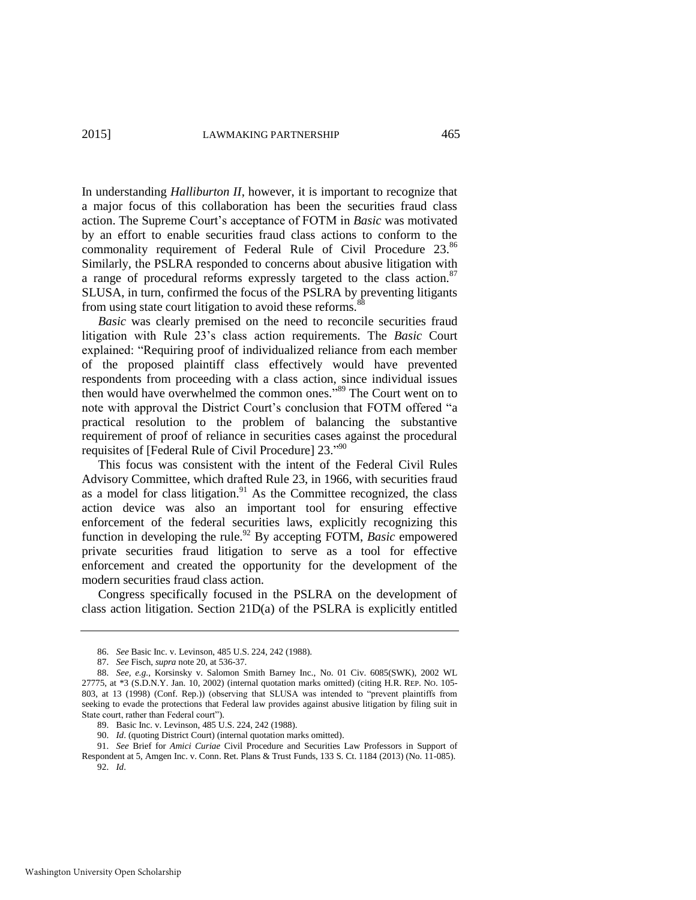In understanding *Halliburton II*, however, it is important to recognize that a major focus of this collaboration has been the securities fraud class action. The Supreme Court's acceptance of FOTM in *Basic* was motivated by an effort to enable securities fraud class actions to conform to the commonality requirement of Federal Rule of Civil Procedure 23.<sup>86</sup> Similarly, the PSLRA responded to concerns about abusive litigation with a range of procedural reforms expressly targeted to the class action.<sup>87</sup> SLUSA, in turn, confirmed the focus of the PSLRA by preventing litigants from using state court litigation to avoid these reforms.<sup>8</sup>

*Basic* was clearly premised on the need to reconcile securities fraud litigation with Rule 23's class action requirements. The *Basic* Court explained: "Requiring proof of individualized reliance from each member of the proposed plaintiff class effectively would have prevented respondents from proceeding with a class action, since individual issues then would have overwhelmed the common ones." <sup>89</sup> The Court went on to note with approval the District Court's conclusion that FOTM offered "a practical resolution to the problem of balancing the substantive requirement of proof of reliance in securities cases against the procedural requisites of [Federal Rule of Civil Procedure] 23."90

This focus was consistent with the intent of the Federal Civil Rules Advisory Committee, which drafted Rule 23, in 1966, with securities fraud as a model for class litigation.<sup>91</sup> As the Committee recognized, the class action device was also an important tool for ensuring effective enforcement of the federal securities laws, explicitly recognizing this function in developing the rule.<sup>92</sup> By accepting FOTM, *Basic* empowered private securities fraud litigation to serve as a tool for effective enforcement and created the opportunity for the development of the modern securities fraud class action.

Congress specifically focused in the PSLRA on the development of class action litigation. Section 21D(a) of the PSLRA is explicitly entitled

<sup>86.</sup> *See* Basic Inc. v. Levinson, 485 U.S. 224, 242 (1988).

<sup>87.</sup> *See* Fisch, *supra* not[e 20,](#page-4-1) at 536-37.

<sup>88.</sup> *See, e.g.*, Korsinsky v. Salomon Smith Barney Inc., No. 01 Civ. 6085(SWK), 2002 WL 27775, at \*3 (S.D.N.Y. Jan. 10, 2002) (internal quotation marks omitted) (citing H.R. REP. NO. 105- 803, at 13 (1998) (Conf. Rep.)) (observing that SLUSA was intended to "prevent plaintiffs from seeking to evade the protections that Federal law provides against abusive litigation by filing suit in State court, rather than Federal court").

<sup>89.</sup> Basic Inc. v. Levinson, 485 U.S. 224, 242 (1988).

<sup>90.</sup> *Id*. (quoting District Court) (internal quotation marks omitted).

<sup>91.</sup> *See* Brief for *Amici Curiae* Civil Procedure and Securities Law Professors in Support of Respondent at 5, Amgen Inc. v. Conn. Ret. Plans & Trust Funds, 133 S. Ct. 1184 (2013) (No. 11-085). 92. *Id*.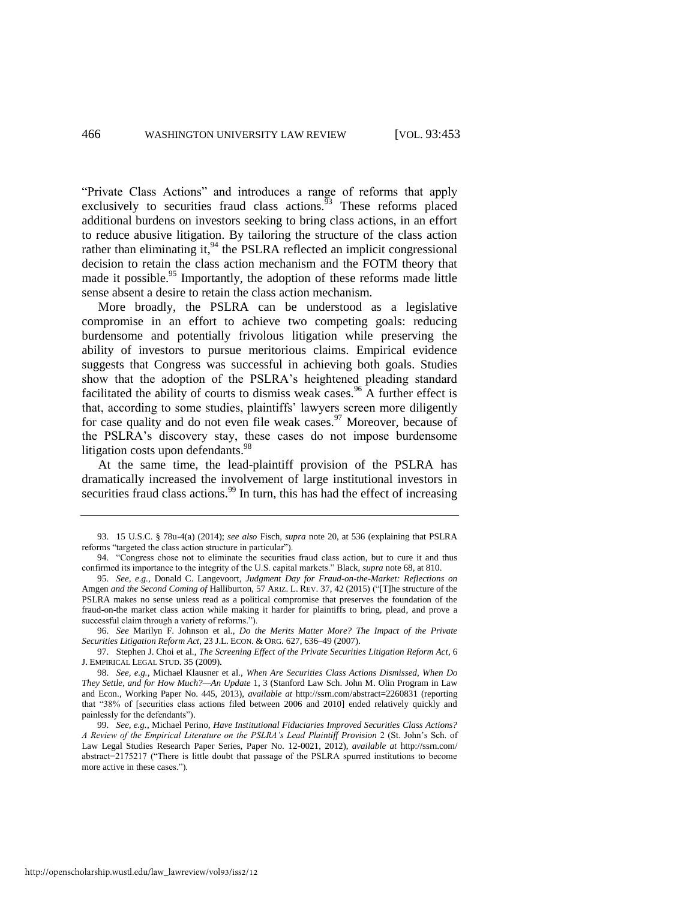"Private Class Actions" and introduces a range of reforms that apply exclusively to securities fraud class actions. $93$  These reforms placed additional burdens on investors seeking to bring class actions, in an effort to reduce abusive litigation. By tailoring the structure of the class action rather than eliminating it, $94$  the PSLRA reflected an implicit congressional decision to retain the class action mechanism and the FOTM theory that made it possible.<sup>95</sup> Importantly, the adoption of these reforms made little sense absent a desire to retain the class action mechanism.

More broadly, the PSLRA can be understood as a legislative compromise in an effort to achieve two competing goals: reducing burdensome and potentially frivolous litigation while preserving the ability of investors to pursue meritorious claims. Empirical evidence suggests that Congress was successful in achieving both goals. Studies show that the adoption of the PSLRA's heightened pleading standard facilitated the ability of courts to dismiss weak cases.<sup>96</sup> A further effect is that, according to some studies, plaintiffs' lawyers screen more diligently for case quality and do not even file weak cases.<sup>97</sup> Moreover, because of the PSLRA's discovery stay, these cases do not impose burdensome litigation costs upon defendants.<sup>98</sup>

At the same time, the lead-plaintiff provision of the PSLRA has dramatically increased the involvement of large institutional investors in securities fraud class actions. $\frac{99}{9}$  In turn, this has had the effect of increasing

96. *See* Marilyn F. Johnson et al., *Do the Merits Matter More? The Impact of the Private Securities Litigation Reform Act*, 23 J.L. ECON. & ORG. 627, 636–49 (2007).

<sup>93. 15</sup> U.S.C. § 78u-4(a) (2014); *see also* Fisch, *supra* note [20,](#page-4-1) at 536 (explaining that PSLRA reforms "targeted the class action structure in particular").

<sup>94. &</sup>quot;Congress chose not to eliminate the securities fraud class action, but to cure it and thus confirmed its importance to the integrity of the U.S. capital markets." Black, *supra* not[e 68,](#page-10-0) at 810.

<sup>95.</sup> *See, e.g.*, Donald C. Langevoort, *Judgment Day for Fraud-on-the-Market: Reflections on* Amgen *and the Second Coming of* Halliburton, 57 ARIZ. L. REV. 37, 42 (2015) ("[T]he structure of the PSLRA makes no sense unless read as a political compromise that preserves the foundation of the fraud-on-the market class action while making it harder for plaintiffs to bring, plead, and prove a successful claim through a variety of reforms.").

<sup>97.</sup> Stephen J. Choi et al., *The Screening Effect of the Private Securities Litigation Reform Act*, 6 J. EMPIRICAL LEGAL STUD. 35 (2009).

<sup>98.</sup> *See, e.g.*, Michael Klausner et al., *When Are Securities Class Actions Dismissed, When Do They Settle, and for How Much?—An Update* 1, 3 (Stanford Law Sch. John M. Olin Program in Law and Econ., Working Paper No. 445, 2013), *available at* http://ssrn.com/abstract=2260831 (reporting that "38% of [securities class actions filed between 2006 and 2010] ended relatively quickly and painlessly for the defendants").

<sup>99.</sup> *See, e.g.*, Michael Perino, *Have Institutional Fiduciaries Improved Securities Class Actions? A Review of the Empirical Literature on the PSLRA's Lead Plaintiff Provision* 2 (St. John's Sch. of Law Legal Studies Research Paper Series, Paper No. 12-0021, 2012), *available at* http://ssrn.com/ abstract=2175217 ("There is little doubt that passage of the PSLRA spurred institutions to become more active in these cases.").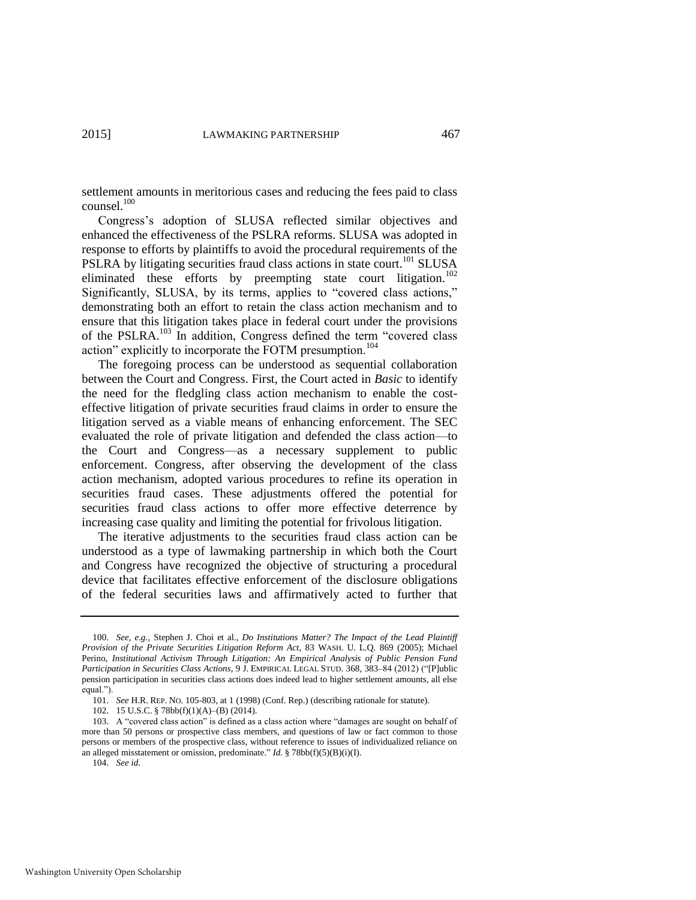settlement amounts in meritorious cases and reducing the fees paid to class counsel.<sup>100</sup>

Congress's adoption of SLUSA reflected similar objectives and enhanced the effectiveness of the PSLRA reforms. SLUSA was adopted in response to efforts by plaintiffs to avoid the procedural requirements of the PSLRA by litigating securities fraud class actions in state court.<sup>101</sup> SLUSA eliminated these efforts by preempting state court litigation.<sup>102</sup> Significantly, SLUSA, by its terms, applies to "covered class actions," demonstrating both an effort to retain the class action mechanism and to ensure that this litigation takes place in federal court under the provisions of the PSLRA.<sup>103</sup> In addition, Congress defined the term "covered class action" explicitly to incorporate the FOTM presumption.<sup>104</sup>

The foregoing process can be understood as sequential collaboration between the Court and Congress. First, the Court acted in *Basic* to identify the need for the fledgling class action mechanism to enable the costeffective litigation of private securities fraud claims in order to ensure the litigation served as a viable means of enhancing enforcement. The SEC evaluated the role of private litigation and defended the class action—to the Court and Congress—as a necessary supplement to public enforcement. Congress, after observing the development of the class action mechanism, adopted various procedures to refine its operation in securities fraud cases. These adjustments offered the potential for securities fraud class actions to offer more effective deterrence by increasing case quality and limiting the potential for frivolous litigation.

The iterative adjustments to the securities fraud class action can be understood as a type of lawmaking partnership in which both the Court and Congress have recognized the objective of structuring a procedural device that facilitates effective enforcement of the disclosure obligations of the federal securities laws and affirmatively acted to further that

<sup>100.</sup> *See, e.g.*, Stephen J. Choi et al., *Do Institutions Matter? The Impact of the Lead Plaintiff Provision of the Private Securities Litigation Reform Act*, 83 WASH. U. L.Q. 869 (2005); Michael Perino, *Institutional Activism Through Litigation: An Empirical Analysis of Public Pension Fund Participation in Securities Class Actions*, 9 J. EMPIRICAL LEGAL STUD. 368, 383–84 (2012) ("[P]ublic pension participation in securities class actions does indeed lead to higher settlement amounts, all else equal.").

<sup>101.</sup> *See* H.R. REP. NO. 105-803, at 1 (1998) (Conf. Rep.) (describing rationale for statute).

<sup>102. 15</sup> U.S.C. § 78bb(f)(1)(A)–(B) (2014).

<sup>103.</sup> A "covered class action" is defined as a class action where "damages are sought on behalf of more than 50 persons or prospective class members, and questions of law or fact common to those persons or members of the prospective class, without reference to issues of individualized reliance on an alleged misstatement or omission, predominate." *Id.* § 78bb(f)(5)(B)(i)(I).

<sup>104.</sup> *See id*.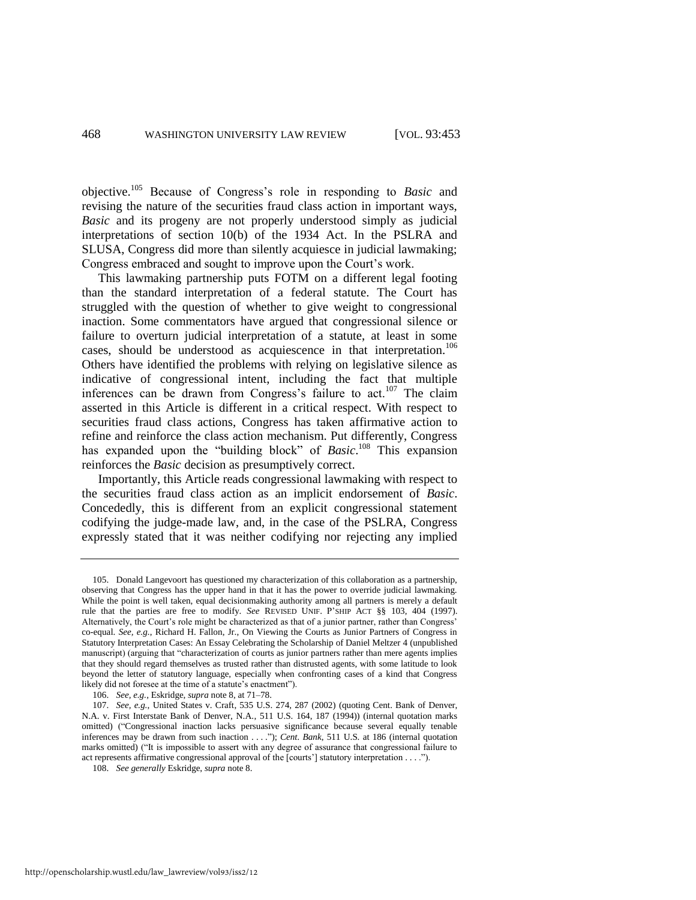objective.<sup>105</sup> Because of Congress's role in responding to *Basic* and revising the nature of the securities fraud class action in important ways, *Basic* and its progeny are not properly understood simply as judicial interpretations of section 10(b) of the 1934 Act. In the PSLRA and SLUSA, Congress did more than silently acquiesce in judicial lawmaking; Congress embraced and sought to improve upon the Court's work.

This lawmaking partnership puts FOTM on a different legal footing than the standard interpretation of a federal statute. The Court has struggled with the question of whether to give weight to congressional inaction. Some commentators have argued that congressional silence or failure to overturn judicial interpretation of a statute, at least in some cases, should be understood as acquiescence in that interpretation.<sup>106</sup> Others have identified the problems with relying on legislative silence as indicative of congressional intent, including the fact that multiple inferences can be drawn from Congress's failure to act.<sup>107</sup> The claim asserted in this Article is different in a critical respect. With respect to securities fraud class actions, Congress has taken affirmative action to refine and reinforce the class action mechanism. Put differently, Congress has expanded upon the "building block" of *Basic*.<sup>108</sup> This expansion reinforces the *Basic* decision as presumptively correct.

Importantly, this Article reads congressional lawmaking with respect to the securities fraud class action as an implicit endorsement of *Basic*. Concededly, this is different from an explicit congressional statement codifying the judge-made law, and, in the case of the PSLRA, Congress expressly stated that it was neither codifying nor rejecting any implied

<sup>105.</sup> Donald Langevoort has questioned my characterization of this collaboration as a partnership, observing that Congress has the upper hand in that it has the power to override judicial lawmaking. While the point is well taken, equal decisionmaking authority among all partners is merely a default rule that the parties are free to modify. *See* REVISED UNIF. P'SHIP ACT §§ 103, 404 (1997). Alternatively, the Court's role might be characterized as that of a junior partner, rather than Congress' co-equal. *See, e.g.*, Richard H. Fallon, Jr., On Viewing the Courts as Junior Partners of Congress in Statutory Interpretation Cases: An Essay Celebrating the Scholarship of Daniel Meltzer 4 (unpublished manuscript) (arguing that "characterization of courts as junior partners rather than mere agents implies that they should regard themselves as trusted rather than distrusted agents, with some latitude to look beyond the letter of statutory language, especially when confronting cases of a kind that Congress likely did not foresee at the time of a statute's enactment").

<sup>106.</sup> *See, e.g.*, Eskridge, *supra* not[e 8,](#page-2-1) at 71–78.

<sup>107.</sup> *See, e.g.*, United States v. Craft, 535 U.S. 274, 287 (2002) (quoting Cent. Bank of Denver, N.A. v. First Interstate Bank of Denver, N.A., 511 U.S. 164, 187 (1994)) (internal quotation marks omitted) ("Congressional inaction lacks persuasive significance because several equally tenable inferences may be drawn from such inaction . . . ."); *Cent. Bank*, 511 U.S. at 186 (internal quotation marks omitted) ("It is impossible to assert with any degree of assurance that congressional failure to act represents affirmative congressional approval of the [courts'] statutory interpretation . . . .").

<sup>108.</sup> *See generally* Eskridge, *supra* not[e 8.](#page-2-1)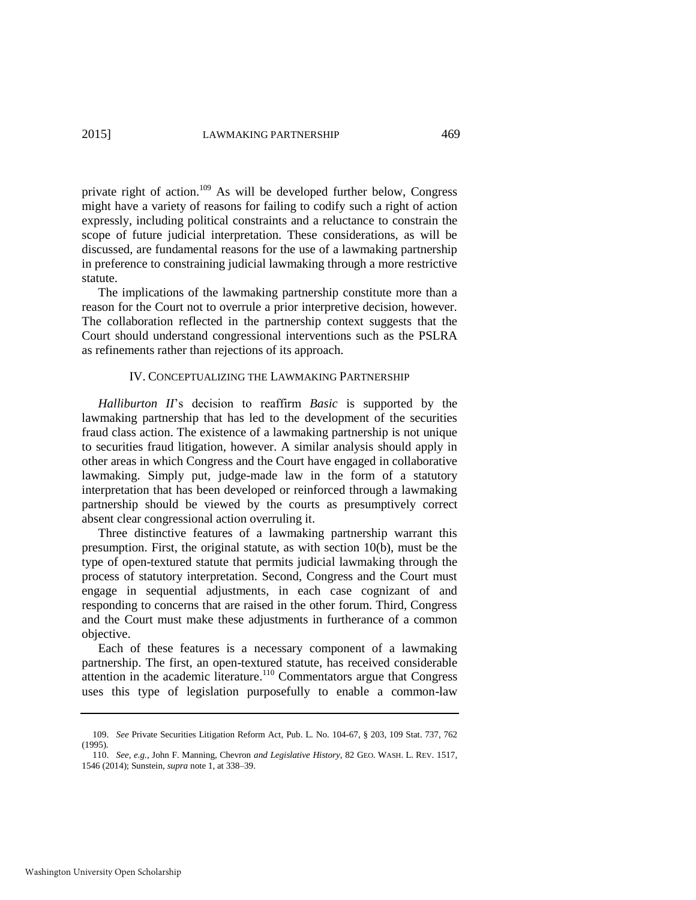private right of action.<sup>109</sup> As will be developed further below, Congress might have a variety of reasons for failing to codify such a right of action expressly, including political constraints and a reluctance to constrain the scope of future judicial interpretation. These considerations, as will be discussed, are fundamental reasons for the use of a lawmaking partnership in preference to constraining judicial lawmaking through a more restrictive statute.

The implications of the lawmaking partnership constitute more than a reason for the Court not to overrule a prior interpretive decision, however. The collaboration reflected in the partnership context suggests that the Court should understand congressional interventions such as the PSLRA as refinements rather than rejections of its approach.

#### IV. CONCEPTUALIZING THE LAWMAKING PARTNERSHIP

*Halliburton II*'s decision to reaffirm *Basic* is supported by the lawmaking partnership that has led to the development of the securities fraud class action. The existence of a lawmaking partnership is not unique to securities fraud litigation, however. A similar analysis should apply in other areas in which Congress and the Court have engaged in collaborative lawmaking. Simply put, judge-made law in the form of a statutory interpretation that has been developed or reinforced through a lawmaking partnership should be viewed by the courts as presumptively correct absent clear congressional action overruling it.

Three distinctive features of a lawmaking partnership warrant this presumption. First, the original statute, as with section 10(b), must be the type of open-textured statute that permits judicial lawmaking through the process of statutory interpretation. Second, Congress and the Court must engage in sequential adjustments, in each case cognizant of and responding to concerns that are raised in the other forum. Third, Congress and the Court must make these adjustments in furtherance of a common objective.

Each of these features is a necessary component of a lawmaking partnership. The first, an open-textured statute, has received considerable attention in the academic literature.<sup>110</sup> Commentators argue that Congress uses this type of legislation purposefully to enable a common-law

<sup>109.</sup> *See* Private Securities Litigation Reform Act, Pub. L. No. 104-67, § 203, 109 Stat. 737, 762 (1995).

<sup>110.</sup> *See, e.g.*, John F. Manning, Chevron *and Legislative History*, 82 GEO. WASH. L. REV. 1517, 1546 (2014); Sunstein, *supra* not[e 1,](#page-2-2) at 338–39.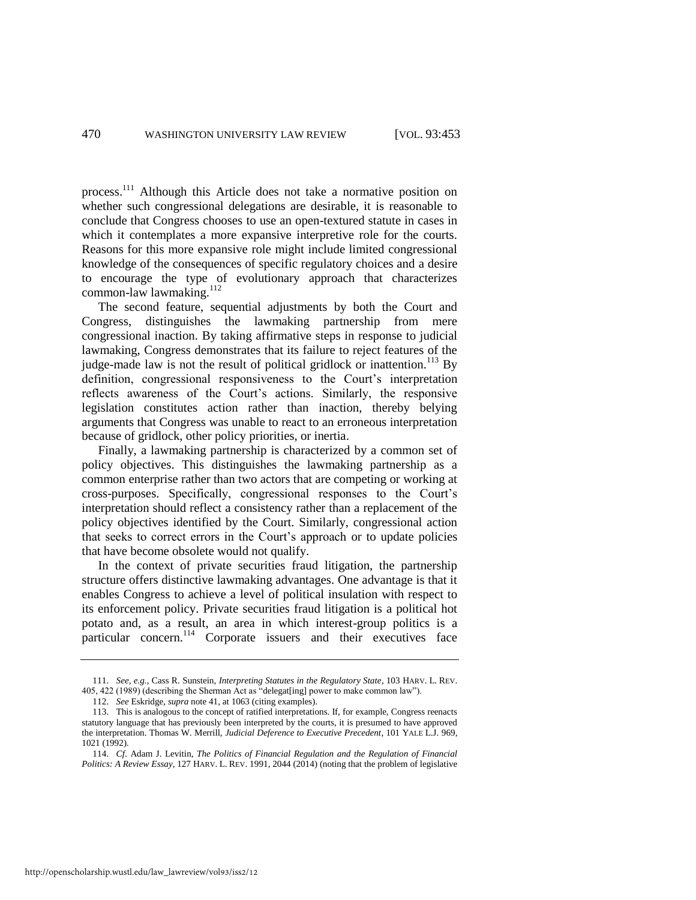process.<sup>111</sup> Although this Article does not take a normative position on whether such congressional delegations are desirable, it is reasonable to conclude that Congress chooses to use an open-textured statute in cases in which it contemplates a more expansive interpretive role for the courts. Reasons for this more expansive role might include limited congressional knowledge of the consequences of specific regulatory choices and a desire to encourage the type of evolutionary approach that characterizes common-law lawmaking.<sup>112</sup>

The second feature, sequential adjustments by both the Court and Congress, distinguishes the lawmaking partnership from mere congressional inaction. By taking affirmative steps in response to judicial lawmaking, Congress demonstrates that its failure to reject features of the judge-made law is not the result of political gridlock or inattention.<sup>113</sup> By definition, congressional responsiveness to the Court's interpretation reflects awareness of the Court's actions. Similarly, the responsive legislation constitutes action rather than inaction, thereby belying arguments that Congress was unable to react to an erroneous interpretation because of gridlock, other policy priorities, or inertia.

Finally, a lawmaking partnership is characterized by a common set of policy objectives. This distinguishes the lawmaking partnership as a common enterprise rather than two actors that are competing or working at cross-purposes. Specifically, congressional responses to the Court's interpretation should reflect a consistency rather than a replacement of the policy objectives identified by the Court. Similarly, congressional action that seeks to correct errors in the Court's approach or to update policies that have become obsolete would not qualify.

In the context of private securities fraud litigation, the partnership structure offers distinctive lawmaking advantages. One advantage is that it enables Congress to achieve a level of political insulation with respect to its enforcement policy. Private securities fraud litigation is a political hot potato and, as a result, an area in which interest-group politics is a particular concern.<sup>114</sup> Corporate issuers and their executives face

http://openscholarship.wustl.edu/law\_lawreview/vol93/iss2/12

<span id="page-18-0"></span><sup>111.</sup> *See, e.g.*, Cass R. Sunstein, *Interpreting Statutes in the Regulatory State*, 103 HARV. L. REV. 405, 422 (1989) (describing the Sherman Act as "delegat[ing] power to make common law").

<sup>112.</sup> *See* Eskridge, *supra* note [41,](#page-7-0) at 1063 (citing examples).

<sup>113.</sup> This is analogous to the concept of ratified interpretations. If, for example, Congress reenacts statutory language that has previously been interpreted by the courts, it is presumed to have approved the interpretation. Thomas W. Merrill, *Judicial Deference to Executive Precedent*, 101 YALE L.J. 969, 1021 (1992).

<sup>114.</sup> *Cf*. Adam J. Levitin, *The Politics of Financial Regulation and the Regulation of Financial Politics: A Review Essay*, 127 HARV. L. REV. 1991, 2044 (2014) (noting that the problem of legislative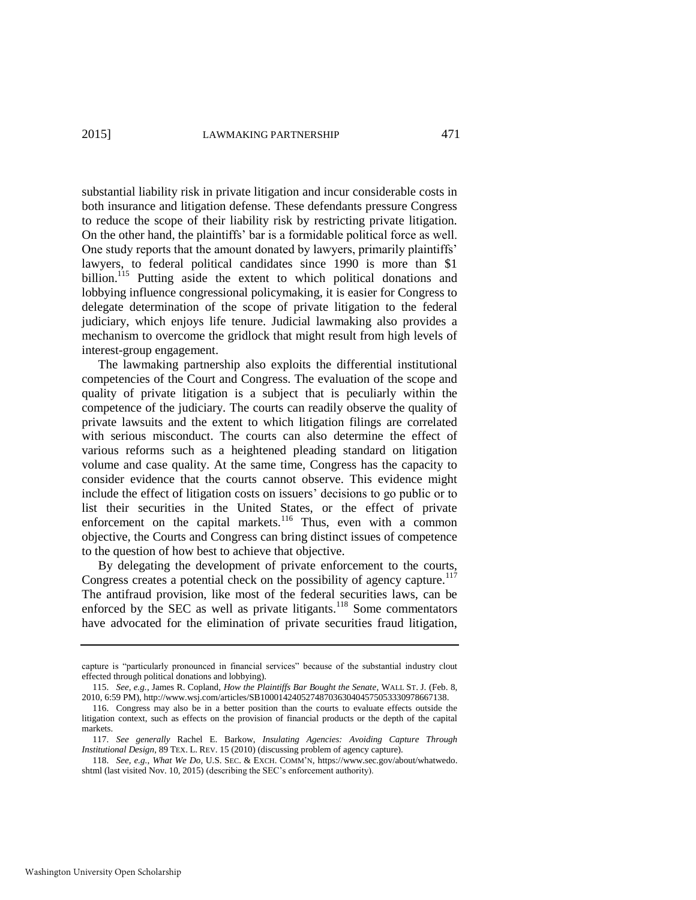substantial liability risk in private litigation and incur considerable costs in both insurance and litigation defense. These defendants pressure Congress to reduce the scope of their liability risk by restricting private litigation. On the other hand, the plaintiffs' bar is a formidable political force as well. One study reports that the amount donated by lawyers, primarily plaintiffs' lawyers, to federal political candidates since 1990 is more than \$1 billion.<sup>115</sup> Putting aside the extent to which political donations and lobbying influence congressional policymaking, it is easier for Congress to delegate determination of the scope of private litigation to the federal judiciary, which enjoys life tenure. Judicial lawmaking also provides a mechanism to overcome the gridlock that might result from high levels of interest-group engagement.

The lawmaking partnership also exploits the differential institutional competencies of the Court and Congress. The evaluation of the scope and quality of private litigation is a subject that is peculiarly within the competence of the judiciary. The courts can readily observe the quality of private lawsuits and the extent to which litigation filings are correlated with serious misconduct. The courts can also determine the effect of various reforms such as a heightened pleading standard on litigation volume and case quality. At the same time, Congress has the capacity to consider evidence that the courts cannot observe. This evidence might include the effect of litigation costs on issuers' decisions to go public or to list their securities in the United States, or the effect of private enforcement on the capital markets.<sup>116</sup> Thus, even with a common objective, the Courts and Congress can bring distinct issues of competence to the question of how best to achieve that objective.

By delegating the development of private enforcement to the courts, Congress creates a potential check on the possibility of agency capture.<sup>117</sup> The antifraud provision, like most of the federal securities laws, can be enforced by the SEC as well as private litigants.<sup>118</sup> Some commentators have advocated for the elimination of private securities fraud litigation,

capture is "particularly pronounced in financial services" because of the substantial industry clout effected through political donations and lobbying).

<sup>115.</sup> *See, e.g.*, James R. Copland, *How the Plaintiffs Bar Bought the Senate*, WALL ST. J. (Feb. 8, 2010, 6:59 PM), http://www.wsj.com/articles/SB10001424052748703630404575053330978667138.

<sup>116.</sup> Congress may also be in a better position than the courts to evaluate effects outside the litigation context, such as effects on the provision of financial products or the depth of the capital markets.

<sup>117.</sup> *See generally* Rachel E. Barkow, *Insulating Agencies: Avoiding Capture Through Institutional Design*, 89 TEX. L. REV. 15 (2010) (discussing problem of agency capture).

<sup>118.</sup> *See, e.g.*, *What We Do*, U.S. SEC. & EXCH. COMM'N, [https://www.sec.gov/about/whatwedo.](https://www.sec.gov/about/whatwedo.shtml)  [shtml \(](https://www.sec.gov/about/whatwedo.shtml)last visited Nov. 10, 2015) (describing the SEC's enforcement authority).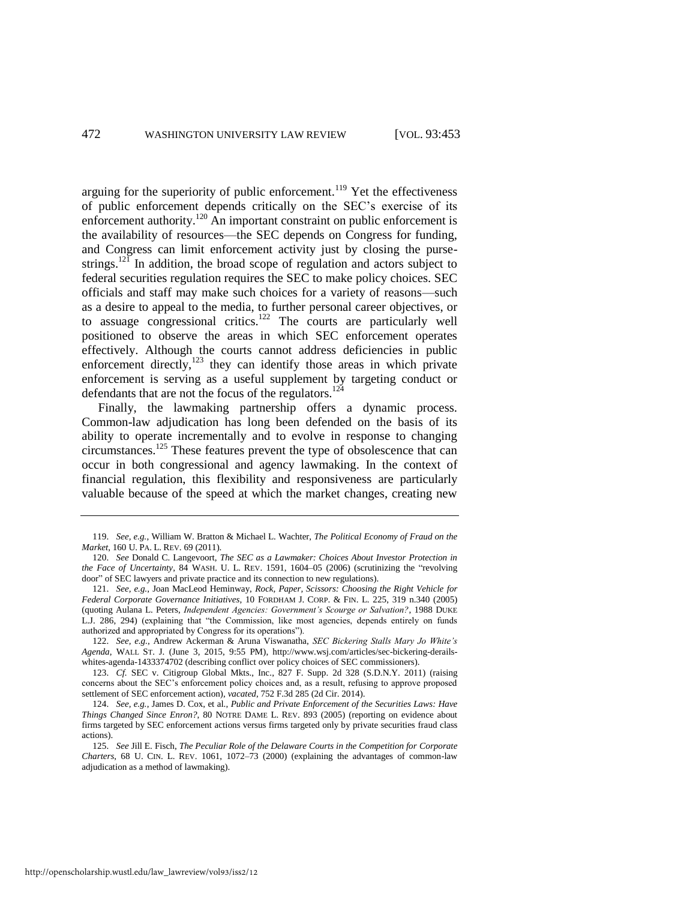arguing for the superiority of public enforcement.<sup>119</sup> Yet the effectiveness of public enforcement depends critically on the SEC's exercise of its enforcement authority.<sup>120</sup> An important constraint on public enforcement is the availability of resources—the SEC depends on Congress for funding, and Congress can limit enforcement activity just by closing the pursestrings.<sup>121</sup> In addition, the broad scope of regulation and actors subject to federal securities regulation requires the SEC to make policy choices. SEC officials and staff may make such choices for a variety of reasons—such as a desire to appeal to the media, to further personal career objectives, or to assuage congressional critics.<sup>122</sup> The courts are particularly well positioned to observe the areas in which SEC enforcement operates effectively. Although the courts cannot address deficiencies in public enforcement directly, $123$  they can identify those areas in which private enforcement is serving as a useful supplement by targeting conduct or defendants that are not the focus of the regulators.<sup>124</sup>

<span id="page-20-0"></span>Finally, the lawmaking partnership offers a dynamic process. Common-law adjudication has long been defended on the basis of its ability to operate incrementally and to evolve in response to changing circumstances.<sup>125</sup> These features prevent the type of obsolescence that can occur in both congressional and agency lawmaking. In the context of financial regulation, this flexibility and responsiveness are particularly valuable because of the speed at which the market changes, creating new

<sup>119.</sup> *See, e.g.*, William W. Bratton & Michael L. Wachter, *The Political Economy of Fraud on the Market*, 160 U. PA. L. REV. 69 (2011).

<sup>120.</sup> *See* Donald C. Langevoort, *The SEC as a Lawmaker: Choices About Investor Protection in the Face of Uncertainty*, 84 WASH. U. L. REV. 1591, 1604–05 (2006) (scrutinizing the "revolving door" of SEC lawyers and private practice and its connection to new regulations).

<sup>121.</sup> *See, e.g.*, Joan MacLeod Heminway, *Rock, Paper, Scissors: Choosing the Right Vehicle for Federal Corporate Governance Initiatives*, 10 FORDHAM J. CORP. & FIN. L. 225, 319 n.340 (2005) (quoting Aulana L. Peters, *Independent Agencies: Government's Scourge or Salvation?*, 1988 DUKE L.J. 286, 294) (explaining that "the Commission, like most agencies, depends entirely on funds authorized and appropriated by Congress for its operations").

<sup>122.</sup> *See, e.g.*, Andrew Ackerman & Aruna Viswanatha, *SEC Bickering Stalls Mary Jo White's Agenda*, WALL ST. J. (June 3, 2015, 9:55 PM), http://www.wsj.com/articles/sec-bickering-derailswhites-agenda-1433374702 (describing conflict over policy choices of SEC commissioners).

<sup>123.</sup> *Cf.* SEC v. Citigroup Global Mkts., Inc., 827 F. Supp. 2d 328 (S.D.N.Y. 2011) (raising concerns about the SEC's enforcement policy choices and, as a result, refusing to approve proposed settlement of SEC enforcement action), *vacated*, 752 F.3d 285 (2d Cir. 2014).

<sup>124.</sup> *See, e.g.*, James D. Cox, et al., *Public and Private Enforcement of the Securities Laws: Have Things Changed Since Enron?*, 80 NOTRE DAME L. REV. 893 (2005) (reporting on evidence about firms targeted by SEC enforcement actions versus firms targeted only by private securities fraud class actions).

<sup>125.</sup> *See* Jill E. Fisch, *The Peculiar Role of the Delaware Courts in the Competition for Corporate Charters*, 68 U. CIN. L. REV. 1061, 1072–73 (2000) (explaining the advantages of common-law adjudication as a method of lawmaking).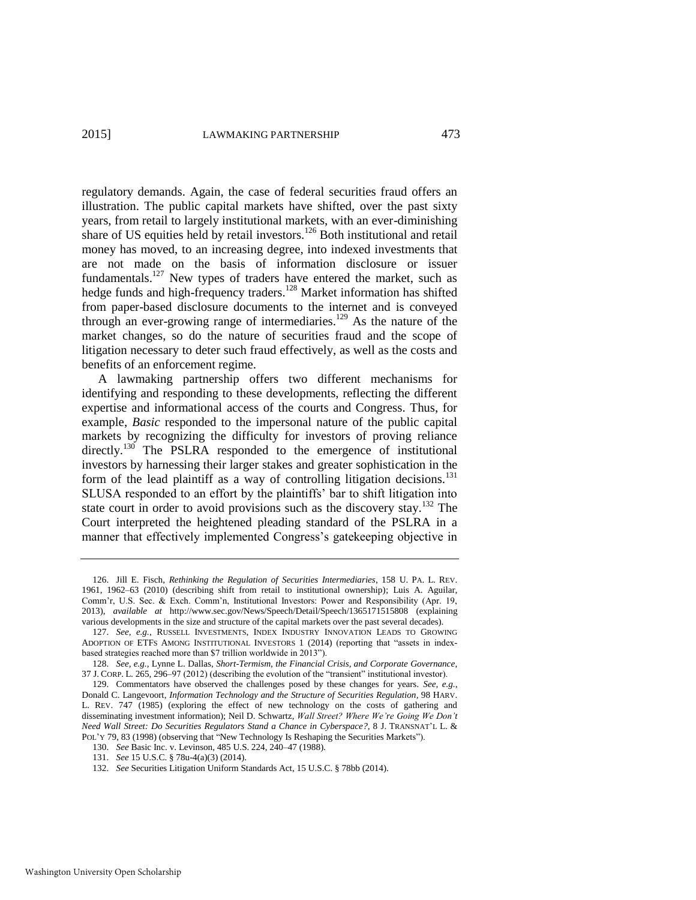regulatory demands. Again, the case of federal securities fraud offers an illustration. The public capital markets have shifted, over the past sixty years, from retail to largely institutional markets, with an ever-diminishing share of US equities held by retail investors.<sup>126</sup> Both institutional and retail money has moved, to an increasing degree, into indexed investments that are not made on the basis of information disclosure or issuer fundamentals.<sup>127</sup> New types of traders have entered the market, such as hedge funds and high-frequency traders.<sup>128</sup> Market information has shifted from paper-based disclosure documents to the internet and is conveyed through an ever-growing range of intermediaries.<sup>129</sup> As the nature of the market changes, so do the nature of securities fraud and the scope of litigation necessary to deter such fraud effectively, as well as the costs and benefits of an enforcement regime.

A lawmaking partnership offers two different mechanisms for identifying and responding to these developments, reflecting the different expertise and informational access of the courts and Congress. Thus, for example, *Basic* responded to the impersonal nature of the public capital markets by recognizing the difficulty for investors of proving reliance directly.<sup>130</sup> The PSLRA responded to the emergence of institutional investors by harnessing their larger stakes and greater sophistication in the form of the lead plaintiff as a way of controlling litigation decisions.<sup>131</sup> SLUSA responded to an effort by the plaintiffs' bar to shift litigation into state court in order to avoid provisions such as the discovery stay.<sup>132</sup> The Court interpreted the heightened pleading standard of the PSLRA in a manner that effectively implemented Congress's gatekeeping objective in

<sup>126.</sup> Jill E. Fisch, *Rethinking the Regulation of Securities Intermediaries*, 158 U. PA. L. REV. 1961, 1962–63 (2010) (describing shift from retail to institutional ownership); Luis A. Aguilar, Comm'r, U.S. Sec. & Exch. Comm'n, Institutional Investors: Power and Responsibility (Apr. 19, 2013), *available at* http://www.sec.gov/News/Speech/Detail/Speech/1365171515808 (explaining various developments in the size and structure of the capital markets over the past several decades).

<sup>127.</sup> *See, e.g.*, RUSSELL INVESTMENTS, INDEX INDUSTRY INNOVATION LEADS TO GROWING ADOPTION OF ETFS AMONG INSTITUTIONAL INVESTORS 1 (2014) (reporting that "assets in indexbased strategies reached more than \$7 trillion worldwide in 2013").

<sup>128.</sup> *See, e.g.*, Lynne L. Dallas, *Short-Termism, the Financial Crisis, and Corporate Governance*, 37 J. CORP. L. 265, 296–97 (2012) (describing the evolution of the "transient" institutional investor).

<sup>129.</sup> Commentators have observed the challenges posed by these changes for years. *See, e.g.*, Donald C. Langevoort, *Information Technology and the Structure of Securities Regulation*, 98 HARV. L. REV. 747 (1985) (exploring the effect of new technology on the costs of gathering and disseminating investment information); Neil D. Schwartz, *Wall Street? Where We're Going We Don't Need Wall Street: Do Securities Regulators Stand a Chance in Cyberspace?*, 8 J. TRANSNAT'L L. & POL'Y 79, 83 (1998) (observing that "New Technology Is Reshaping the Securities Markets").

<sup>130.</sup> *See* Basic Inc. v. Levinson, 485 U.S. 224, 240–47 (1988).

<sup>131.</sup> *See* 15 U.S.C. § 78u-4(a)(3) (2014).

<sup>132.</sup> *See* Securities Litigation Uniform Standards Act, 15 U.S.C. § 78bb (2014).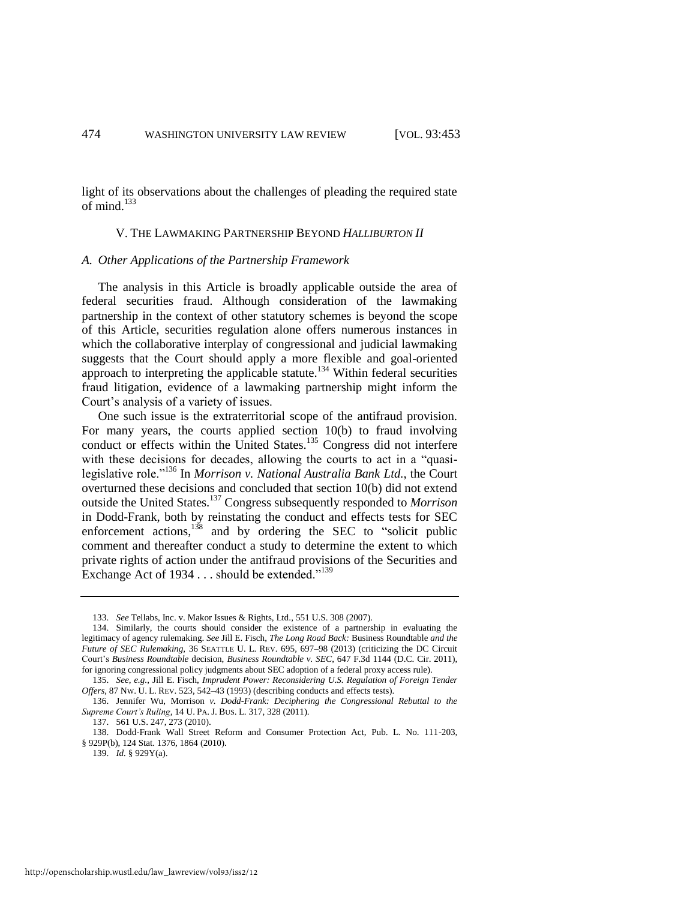light of its observations about the challenges of pleading the required state of mind.<sup>133</sup>

#### V. THE LAWMAKING PARTNERSHIP BEYOND *HALLIBURTON II*

#### *A. Other Applications of the Partnership Framework*

The analysis in this Article is broadly applicable outside the area of federal securities fraud. Although consideration of the lawmaking partnership in the context of other statutory schemes is beyond the scope of this Article, securities regulation alone offers numerous instances in which the collaborative interplay of congressional and judicial lawmaking suggests that the Court should apply a more flexible and goal-oriented approach to interpreting the applicable statute.<sup>134</sup> Within federal securities fraud litigation, evidence of a lawmaking partnership might inform the Court's analysis of a variety of issues.

One such issue is the extraterritorial scope of the antifraud provision. For many years, the courts applied section 10(b) to fraud involving conduct or effects within the United States.<sup>135</sup> Congress did not interfere with these decisions for decades, allowing the courts to act in a "quasilegislative role."<sup>136</sup> In *Morrison v. National Australia Bank Ltd.*, the Court overturned these decisions and concluded that section 10(b) did not extend outside the United States.<sup>137</sup> Congress subsequently responded to *Morrison* in Dodd-Frank, both by reinstating the conduct and effects tests for SEC enforcement actions, $138$  and by ordering the SEC to "solicit public comment and thereafter conduct a study to determine the extent to which private rights of action under the antifraud provisions of the Securities and Exchange Act of 1934 . . . should be extended."<sup>139</sup>

<sup>133.</sup> *See* Tellabs, Inc. v. Makor Issues & Rights, Ltd., 551 U.S. 308 (2007).

<sup>134.</sup> Similarly, the courts should consider the existence of a partnership in evaluating the legitimacy of agency rulemaking. *See* Jill E. Fisch, *The Long Road Back:* Business Roundtable *and the Future of SEC Rulemaking*, 36 SEATTLE U. L. REV. 695, 697–98 (2013) (criticizing the DC Circuit Court's *Business Roundtable* decision, *Business Roundtable v. SEC*, 647 F.3d 1144 (D.C. Cir. 2011), for ignoring congressional policy judgments about SEC adoption of a federal proxy access rule).

<sup>135.</sup> *See, e.g.*, Jill E. Fisch, *Imprudent Power: Reconsidering U.S. Regulation of Foreign Tender Offers*, 87 NW. U. L. REV. 523, 542–43 (1993) (describing conducts and effects tests).

<sup>136.</sup> Jennifer Wu, Morrison *v. Dodd-Frank: Deciphering the Congressional Rebuttal to the Supreme Court's Ruling*, 14 U. PA. J. BUS. L. 317, 328 (2011).

<sup>137. 561</sup> U.S. 247, 273 (2010).

<sup>138.</sup> Dodd-Frank Wall Street Reform and Consumer Protection Act, Pub. L. No. 111-203, § 929P(b), 124 Stat. 1376, 1864 (2010).

<sup>139.</sup> *Id.* § 929Y(a).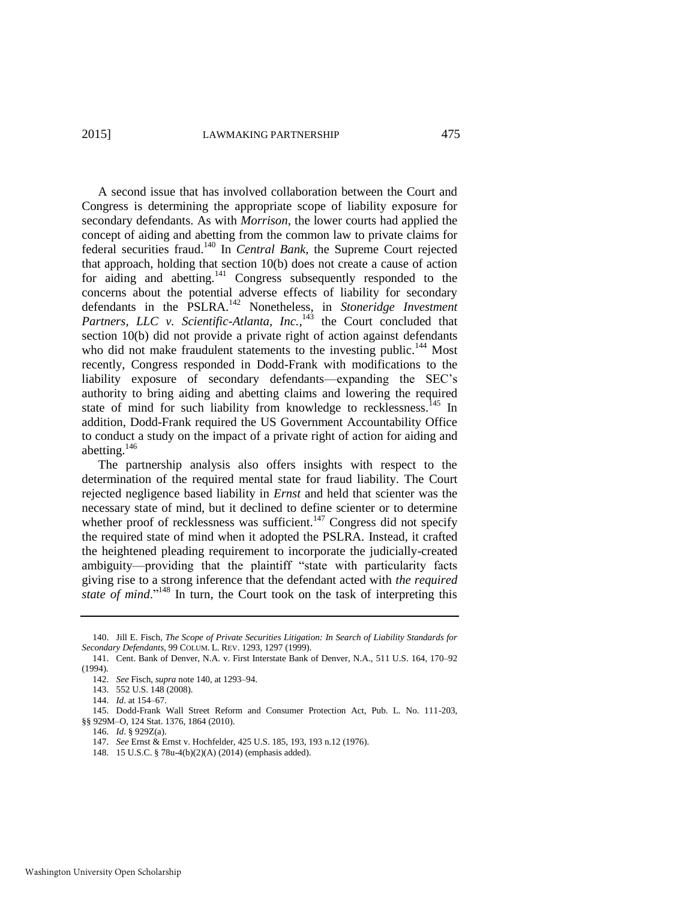<span id="page-23-0"></span>A second issue that has involved collaboration between the Court and Congress is determining the appropriate scope of liability exposure for secondary defendants. As with *Morrison*, the lower courts had applied the concept of aiding and abetting from the common law to private claims for federal securities fraud.<sup>140</sup> In *Central Bank*, the Supreme Court rejected that approach, holding that section 10(b) does not create a cause of action for aiding and abetting.<sup>141</sup> Congress subsequently responded to the concerns about the potential adverse effects of liability for secondary defendants in the PSLRA.<sup>142</sup> Nonetheless, in *Stoneridge Investment* Partners, LLC v. Scientific-Atlanta, Inc.,<sup>143</sup> the Court concluded that section 10(b) did not provide a private right of action against defendants who did not make fraudulent statements to the investing public.<sup>144</sup> Most recently, Congress responded in Dodd-Frank with modifications to the liability exposure of secondary defendants—expanding the SEC's authority to bring aiding and abetting claims and lowering the required state of mind for such liability from knowledge to recklessness.<sup>145</sup> In addition, Dodd-Frank required the US Government Accountability Office to conduct a study on the impact of a private right of action for aiding and abetting.<sup>146</sup>

The partnership analysis also offers insights with respect to the determination of the required mental state for fraud liability. The Court rejected negligence based liability in *Ernst* and held that scienter was the necessary state of mind, but it declined to define scienter or to determine whether proof of recklessness was sufficient.<sup>147</sup> Congress did not specify the required state of mind when it adopted the PSLRA. Instead, it crafted the heightened pleading requirement to incorporate the judicially-created ambiguity—providing that the plaintiff "state with particularity facts giving rise to a strong inference that the defendant acted with *the required state of mind.*"<sup>148</sup> In turn, the Court took on the task of interpreting this

145. Dodd-Frank Wall Street Reform and Consumer Protection Act, Pub. L. No. 111-203, §§ 929M–O, 124 Stat. 1376, 1864 (2010).

- 146. *Id*. § 929Z(a).
- 147. *See* Ernst & Ernst v. Hochfelder, 425 U.S. 185, 193, 193 n.12 (1976).
- 148. 15 U.S.C. § 78u-4(b)(2)(A) (2014) (emphasis added).

<sup>140.</sup> Jill E. Fisch, *The Scope of Private Securities Litigation: In Search of Liability Standards for Secondary Defendants*, 99 COLUM. L. REV. 1293, 1297 (1999).

<sup>141.</sup> Cent. Bank of Denver, N.A. v. First Interstate Bank of Denver, N.A., 511 U.S. 164, 170–92 (1994).

<sup>142.</sup> *See* Fisch, *supra* not[e 140,](#page-23-0) at 1293–94.

<sup>143. 552</sup> U.S. 148 (2008).

<sup>144.</sup> *Id*. at 154–67.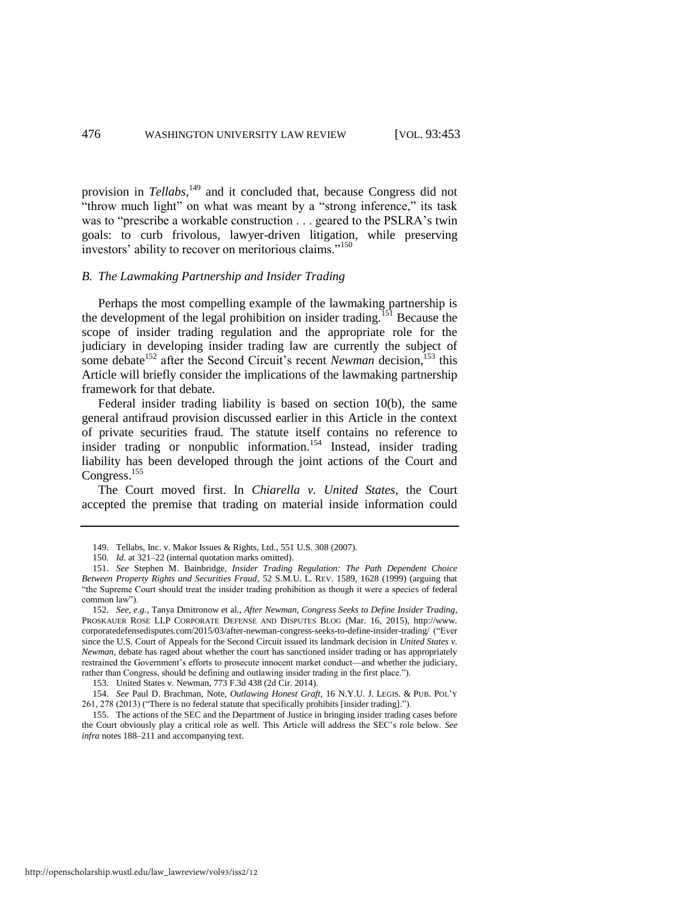provision in *Tellabs*, <sup>149</sup> and it concluded that, because Congress did not "throw much light" on what was meant by a "strong inference," its task was to "prescribe a workable construction . . . geared to the PSLRA's twin goals: to curb frivolous, lawyer-driven litigation, while preserving investors' ability to recover on meritorious claims."<sup>150</sup>

#### *B. The Lawmaking Partnership and Insider Trading*

Perhaps the most compelling example of the lawmaking partnership is the development of the legal prohibition on insider trading.<sup>151</sup> Because the scope of insider trading regulation and the appropriate role for the judiciary in developing insider trading law are currently the subject of some debate<sup>152</sup> after the Second Circuit's recent *Newman* decision,<sup>153</sup> this Article will briefly consider the implications of the lawmaking partnership framework for that debate.

<span id="page-24-1"></span>Federal insider trading liability is based on section 10(b), the same general antifraud provision discussed earlier in this Article in the context of private securities fraud. The statute itself contains no reference to insider trading or nonpublic information.<sup>154</sup> Instead, insider trading liability has been developed through the joint actions of the Court and Congress.<sup>155</sup>

<span id="page-24-0"></span>The Court moved first. In *Chiarella v. United States*, the Court accepted the premise that trading on material inside information could

<sup>149.</sup> Tellabs, Inc. v. Makor Issues & Rights, Ltd., 551 U.S. 308 (2007).

<sup>150.</sup> *Id*. at 321–22 (internal quotation marks omitted).

<sup>151.</sup> *See* Stephen M. Bainbridge, *Insider Trading Regulation: The Path Dependent Choice Between Property Rights and Securities Fraud*, 52 S.M.U. L. REV. 1589, 1628 (1999) (arguing that "the Supreme Court should treat the insider trading prohibition as though it were a species of federal common law").

<sup>152.</sup> *See, e.g.*, Tanya Dmitronow et al., *After Newman, Congress Seeks to Define Insider Trading*, PROSKAUER ROSE LLP CORPORATE DEFENSE AND DISPUTES BLOG (Mar. 16, 2015), [http://www.](http://www.corporatedefensedisputes.com/2015/03/after-newman-congress-seeks-to-define-insider-trading/)  [corporatedefensedisputes.com/2015/03/after-newman-congress-seeks-to-define-insider-trading/](http://www.corporatedefensedisputes.com/2015/03/after-newman-congress-seeks-to-define-insider-trading/) ("Ever since the U.S. Court of Appeals for the Second Circuit issued its landmark decision in *United States v. Newman*, debate has raged about whether the court has sanctioned insider trading or has appropriately restrained the Government's efforts to prosecute innocent market conduct—and whether the judiciary, rather than Congress, should be defining and outlawing insider trading in the first place.").

<sup>153.</sup> United States v. Newman, 773 F.3d 438 (2d Cir. 2014).

<sup>154.</sup> *See* Paul D. Brachman, Note, *Outlawing Honest Graft*, 16 N.Y.U. J. LEGIS. & PUB. POL'Y 261, 278 (2013) ("There is no federal statute that specifically prohibits [insider trading].").

<sup>155.</sup> The actions of the SEC and the Department of Justice in bringing insider trading cases before the Court obviously play a critical role as well. This Article will address the SEC's role below. *See infra* note[s 188](#page-28-0)[–211 a](#page-31-0)nd accompanying text.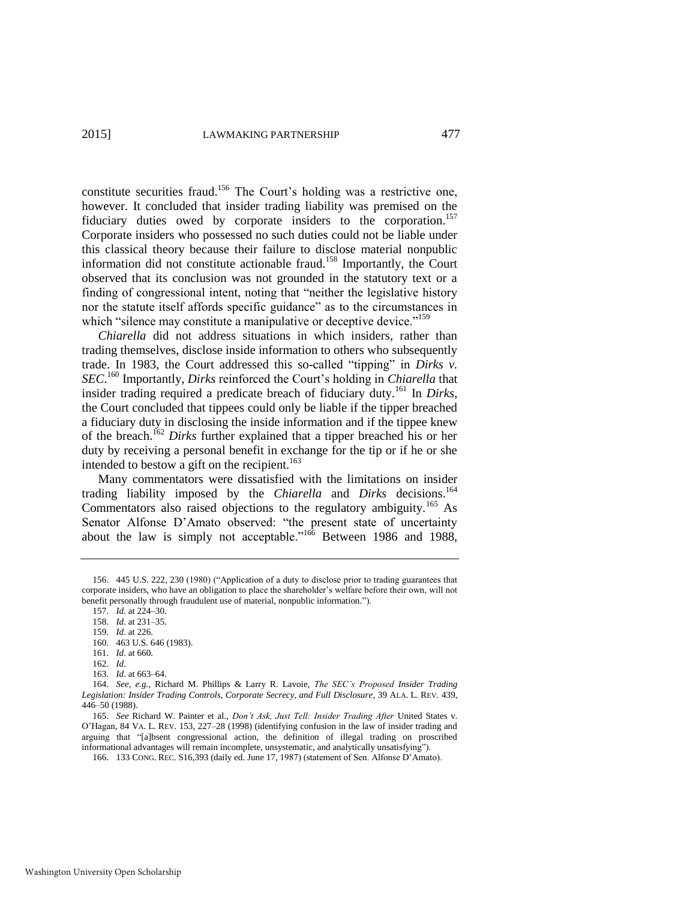constitute securities fraud.<sup>156</sup> The Court's holding was a restrictive one, however. It concluded that insider trading liability was premised on the fiduciary duties owed by corporate insiders to the corporation.<sup>157</sup> Corporate insiders who possessed no such duties could not be liable under this classical theory because their failure to disclose material nonpublic information did not constitute actionable fraud.<sup>158</sup> Importantly, the Court observed that its conclusion was not grounded in the statutory text or a finding of congressional intent, noting that "neither the legislative history nor the statute itself affords specific guidance" as to the circumstances in which "silence may constitute a manipulative or deceptive device."<sup>159</sup>

*Chiarella* did not address situations in which insiders, rather than trading themselves, disclose inside information to others who subsequently trade. In 1983, the Court addressed this so-called "tipping" in *Dirks v. SEC*. <sup>160</sup> Importantly, *Dirks* reinforced the Court's holding in *Chiarella* that insider trading required a predicate breach of fiduciary duty.<sup>161</sup> In *Dirks*, the Court concluded that tippees could only be liable if the tipper breached a fiduciary duty in disclosing the inside information and if the tippee knew of the breach.<sup>162</sup> *Dirks* further explained that a tipper breached his or her duty by receiving a personal benefit in exchange for the tip or if he or she intended to bestow a gift on the recipient.<sup>163</sup>

<span id="page-25-0"></span>Many commentators were dissatisfied with the limitations on insider trading liability imposed by the *Chiarella* and *Dirks* decisions.<sup>164</sup> Commentators also raised objections to the regulatory ambiguity.<sup>165</sup> As Senator Alfonse D'Amato observed: "the present state of uncertainty about the law is simply not acceptable.<sup> $166$ </sup> Between 1986 and 1988,

157. *Id.* at 224–30.

158. *Id.* at 231–35.

- 160. 463 U.S. 646 (1983).
- 161. *Id*. at 660.

162. *Id*.

<sup>156. 445</sup> U.S. 222, 230 (1980) ("Application of a duty to disclose prior to trading guarantees that corporate insiders, who have an obligation to place the shareholder's welfare before their own, will not benefit personally through fraudulent use of material, nonpublic information.").

<sup>159.</sup> *Id*. at 226.

<sup>163.</sup> *Id*. at 663–64.

<sup>164.</sup> *See, e.g.*, Richard M. Phillips & Larry R. Lavoie, *The SEC's Proposed Insider Trading Legislation: Insider Trading Controls, Corporate Secrecy, and Full Disclosure*, 39 ALA. L. REV. 439, 446–50 (1988).

<sup>165.</sup> *See* Richard W. Painter et al., *Don't Ask, Just Tell: Insider Trading After* United States v. O'Hagan, 84 VA. L. REV. 153, 227–28 (1998) (identifying confusion in the law of insider trading and arguing that "[a]bsent congressional action, the definition of illegal trading on proscribed informational advantages will remain incomplete, unsystematic, and analytically unsatisfying").

<sup>166. 133</sup> CONG. REC. S16,393 (daily ed. June 17, 1987) (statement of Sen. Alfonse D'Amato).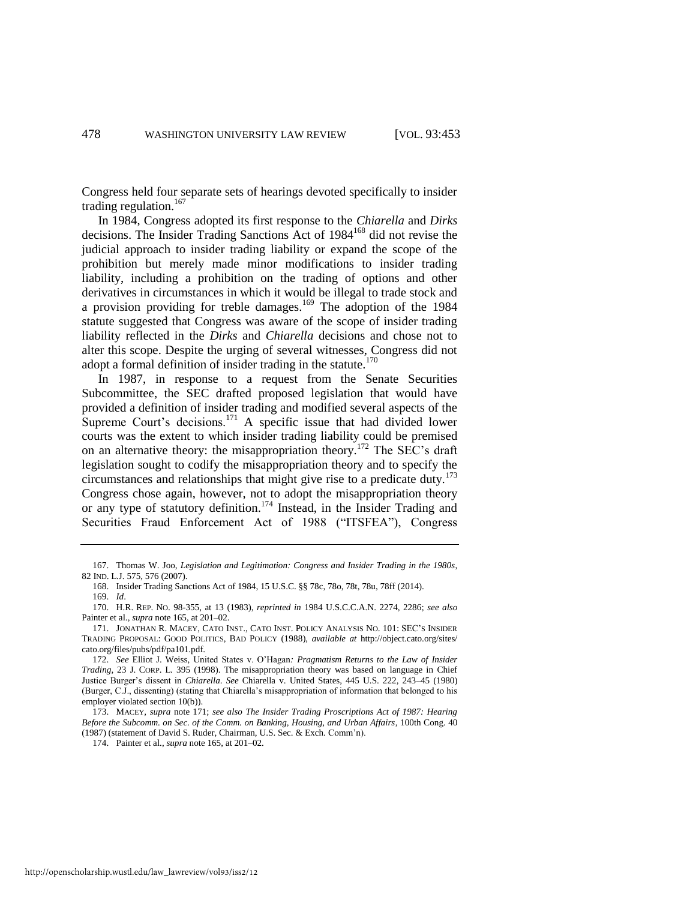<span id="page-26-2"></span>Congress held four separate sets of hearings devoted specifically to insider trading regulation. $167$ 

In 1984, Congress adopted its first response to the *Chiarella* and *Dirks* decisions. The Insider Trading Sanctions Act of 1984<sup>168</sup> did not revise the judicial approach to insider trading liability or expand the scope of the prohibition but merely made minor modifications to insider trading liability, including a prohibition on the trading of options and other derivatives in circumstances in which it would be illegal to trade stock and a provision providing for treble damages.<sup>169</sup> The adoption of the  $1984$ statute suggested that Congress was aware of the scope of insider trading liability reflected in the *Dirks* and *Chiarella* decisions and chose not to alter this scope. Despite the urging of several witnesses, Congress did not adopt a formal definition of insider trading in the statute.<sup>170</sup>

<span id="page-26-1"></span><span id="page-26-0"></span>In 1987, in response to a request from the Senate Securities Subcommittee, the SEC drafted proposed legislation that would have provided a definition of insider trading and modified several aspects of the Supreme Court's decisions.<sup>171</sup> A specific issue that had divided lower courts was the extent to which insider trading liability could be premised on an alternative theory: the misappropriation theory.<sup>172</sup> The SEC's draft legislation sought to codify the misappropriation theory and to specify the circumstances and relationships that might give rise to a predicate duty.<sup>173</sup> Congress chose again, however, not to adopt the misappropriation theory or any type of statutory definition.<sup>174</sup> Instead, in the Insider Trading and Securities Fraud Enforcement Act of 1988 ("ITSFEA"), Congress

<sup>167.</sup> Thomas W. Joo, *Legislation and Legitimation: Congress and Insider Trading in the 1980s*, 82 IND. L.J. 575, 576 (2007).

<sup>168.</sup> Insider Trading Sanctions Act of 1984, 15 U.S.C. §§ 78c, 78o, 78t, 78u, 78ff (2014).

<sup>169.</sup> *Id*.

<sup>170.</sup> H.R. REP. NO. 98-355, at 13 (1983), *reprinted in* 1984 U.S.C.C.A.N. 2274, 2286; *see also*  Painter et al., *supra* not[e 165,](#page-25-0) at 201–02.

<sup>171.</sup> JONATHAN R. MACEY, CATO INST., CATO INST. POLICY ANALYSIS NO. 101: SEC'S INSIDER TRADING PROPOSAL: GOOD POLITICS, BAD POLICY (1988), *available at* http://object.cato.org/sites/ cato.org/files/pubs/pdf/pa101.pdf.

<sup>172.</sup> *See* Elliot J. Weiss, United States v. O'Hagan*: Pragmatism Returns to the Law of Insider Trading*, 23 J. CORP. L. 395 (1998). The misappropriation theory was based on language in Chief Justice Burger's dissent in *Chiarella*. *See* Chiarella v. United States, 445 U.S. 222, 243–45 (1980) (Burger, C.J., dissenting) (stating that Chiarella's misappropriation of information that belonged to his employer violated section 10(b)).

<sup>173.</sup> MACEY, *supra* not[e 171;](#page-26-0) *see also The Insider Trading Proscriptions Act of 1987: Hearing Before the Subcomm. on Sec. of the Comm. on Banking, Housing, and Urban Affairs*, 100th Cong. 40 (1987) (statement of David S. Ruder, Chairman, U.S. Sec. & Exch. Comm'n).

<sup>174.</sup> Painter et al., *supra* not[e 165,](#page-25-0) at 201–02.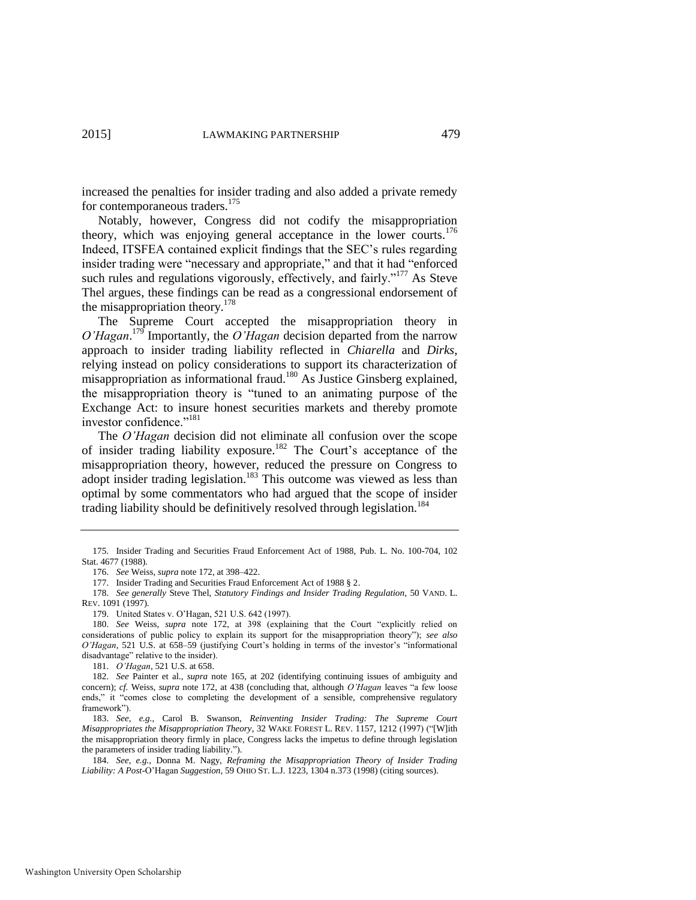increased the penalties for insider trading and also added a private remedy for contemporaneous traders.<sup>175</sup>

Notably, however, Congress did not codify the misappropriation theory, which was enjoying general acceptance in the lower courts.<sup>176</sup> Indeed, ITSFEA contained explicit findings that the SEC's rules regarding insider trading were "necessary and appropriate," and that it had "enforced such rules and regulations vigorously, effectively, and fairly."<sup>177</sup> As Steve Thel argues, these findings can be read as a congressional endorsement of the misappropriation theory.<sup>178</sup>

The Supreme Court accepted the misappropriation theory in  $O'Hagan$ <sup>179</sup> Importantly, the  $O'Hagan$  decision departed from the narrow approach to insider trading liability reflected in *Chiarella* and *Dirks*, relying instead on policy considerations to support its characterization of misappropriation as informational fraud.<sup>180</sup> As Justice Ginsberg explained, the misappropriation theory is "tuned to an animating purpose of the Exchange Act: to insure honest securities markets and thereby promote investor confidence."<sup>181</sup>

The *O'Hagan* decision did not eliminate all confusion over the scope of insider trading liability exposure.<sup>182</sup> The Court's acceptance of the misappropriation theory, however, reduced the pressure on Congress to adopt insider trading legislation.<sup>183</sup> This outcome was viewed as less than optimal by some commentators who had argued that the scope of insider trading liability should be definitively resolved through legislation.<sup>184</sup>

<sup>175.</sup> Insider Trading and Securities Fraud Enforcement Act of 1988, Pub. L. No. 100-704, 102 Stat. 4677 (1988).

<sup>176.</sup> *See* Weiss, *supra* not[e 172,](#page-26-1) at 398–422.

<sup>177.</sup> Insider Trading and Securities Fraud Enforcement Act of 1988 § 2.

<sup>178.</sup> *See generally* Steve Thel, *Statutory Findings and Insider Trading Regulation*, 50 VAND. L. REV. 1091 (1997).

<sup>179.</sup> United States v. O'Hagan, 521 U.S. 642 (1997).

<sup>180.</sup> *See* Weiss, *supra* note [172,](#page-26-1) at 398 (explaining that the Court "explicitly relied on considerations of public policy to explain its support for the misappropriation theory"); *see also O'Hagan*, 521 U.S. at 658–59 (justifying Court's holding in terms of the investor's "informational disadvantage" relative to the insider).

<sup>181.</sup> *O'Hagan*, 521 U.S. at 658.

<sup>182.</sup> *See* Painter et al., *supra* note [165,](#page-25-0) at 202 (identifying continuing issues of ambiguity and concern); *cf.* Weiss, *supra* note [172,](#page-26-1) at 438 (concluding that, although *O'Hagan* leaves "a few loose ends," it "comes close to completing the development of a sensible, comprehensive regulatory framework").

<sup>183.</sup> *See, e.g.*, Carol B. Swanson, *Reinventing Insider Trading: The Supreme Court Misappropriates the Misappropriation Theory*, 32 WAKE FOREST L. REV. 1157, 1212 (1997) ("[W]ith the misappropriation theory firmly in place, Congress lacks the impetus to define through legislation the parameters of insider trading liability.").

<sup>184.</sup> *See, e.g.*, Donna M. Nagy, *Reframing the Misappropriation Theory of Insider Trading Liability: A Post-*O'Hagan *Suggestion*, 59 OHIO ST. L.J. 1223, 1304 n.373 (1998) (citing sources).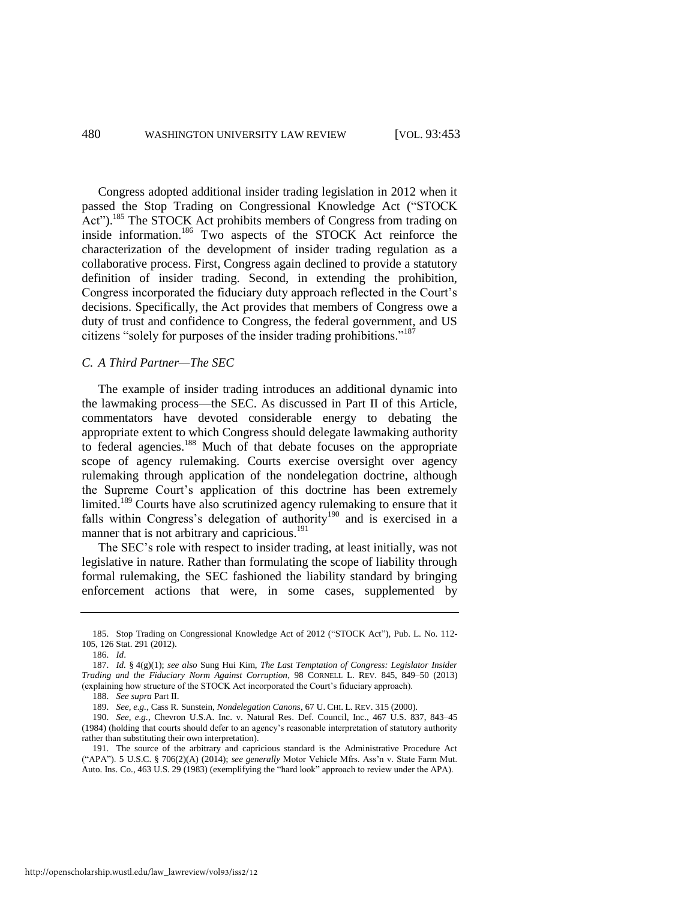<span id="page-28-1"></span>Congress adopted additional insider trading legislation in 2012 when it passed the Stop Trading on Congressional Knowledge Act ("STOCK Act").<sup>185</sup> The STOCK Act prohibits members of Congress from trading on inside information.<sup>186</sup> Two aspects of the STOCK Act reinforce the characterization of the development of insider trading regulation as a collaborative process. First, Congress again declined to provide a statutory definition of insider trading. Second, in extending the prohibition, Congress incorporated the fiduciary duty approach reflected in the Court's decisions. Specifically, the Act provides that members of Congress owe a duty of trust and confidence to Congress, the federal government, and US citizens "solely for purposes of the insider trading prohibitions."<sup>187</sup>

#### <span id="page-28-2"></span>*C. A Third Partner—The SEC*

<span id="page-28-0"></span>The example of insider trading introduces an additional dynamic into the lawmaking process—the SEC. As discussed in Part II of this Article, commentators have devoted considerable energy to debating the appropriate extent to which Congress should delegate lawmaking authority to federal agencies.<sup>188</sup> Much of that debate focuses on the appropriate scope of agency rulemaking. Courts exercise oversight over agency rulemaking through application of the nondelegation doctrine, although the Supreme Court's application of this doctrine has been extremely limited.<sup>189</sup> Courts have also scrutinized agency rulemaking to ensure that it falls within Congress's delegation of authority<sup>190</sup> and is exercised in a manner that is not arbitrary and capricious.<sup>191</sup>

The SEC's role with respect to insider trading, at least initially, was not legislative in nature. Rather than formulating the scope of liability through formal rulemaking, the SEC fashioned the liability standard by bringing enforcement actions that were, in some cases, supplemented by

<sup>185.</sup> Stop Trading on Congressional Knowledge Act of 2012 ("STOCK Act"), Pub. L. No. 112- 105, 126 Stat. 291 (2012).

<sup>186.</sup> *Id*.

<sup>187.</sup> *Id.* § 4(g)(1); *see also* Sung Hui Kim, *The Last Temptation of Congress: Legislator Insider Trading and the Fiduciary Norm Against Corruption*, 98 CORNELL L. REV. 845, 849–50 (2013) (explaining how structure of the STOCK Act incorporated the Court's fiduciary approach).

<sup>188.</sup> *See supra* Part II.

<sup>189.</sup> *See, e.g.*, Cass R. Sunstein, *Nondelegation Canons*, 67 U. CHI. L. REV. 315 (2000).

<sup>190.</sup> *See, e.g.*, Chevron U.S.A. Inc. v. Natural Res. Def. Council, Inc., 467 U.S. 837, 843–45 (1984) (holding that courts should defer to an agency's reasonable interpretation of statutory authority rather than substituting their own interpretation).

<sup>191.</sup> The source of the arbitrary and capricious standard is the Administrative Procedure Act ("APA"). 5 U.S.C. § 706(2)(A) (2014); *see generally* Motor Vehicle Mfrs. Ass'n v. State Farm Mut. Auto. Ins. Co., 463 U.S. 29 (1983) (exemplifying the "hard look" approach to review under the APA).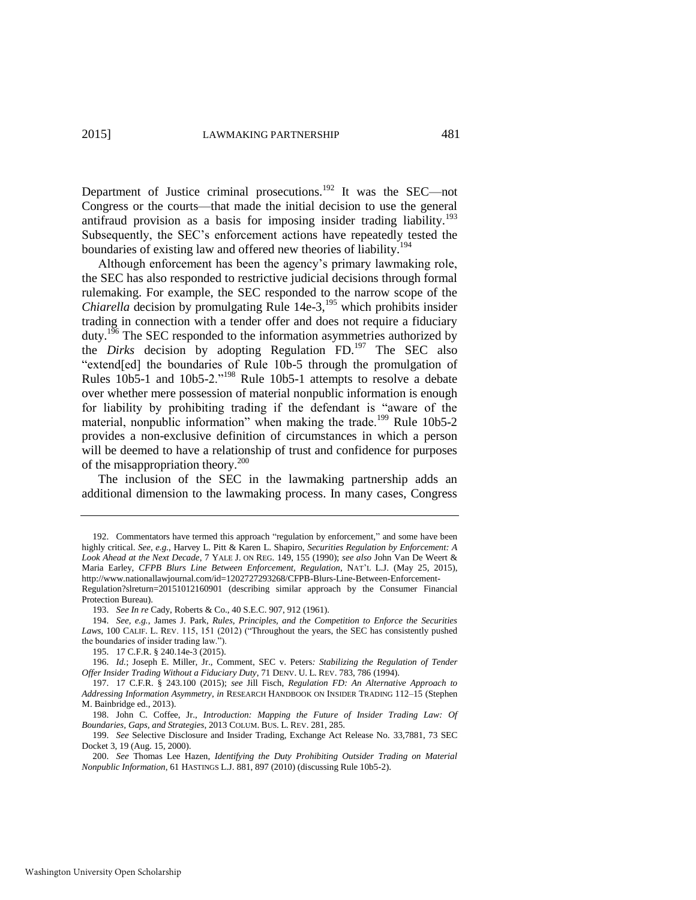Department of Justice criminal prosecutions.<sup>192</sup> It was the SEC—not Congress or the courts—that made the initial decision to use the general antifraud provision as a basis for imposing insider trading liability.<sup>193</sup> Subsequently, the SEC's enforcement actions have repeatedly tested the boundaries of existing law and offered new theories of liability.<sup>194</sup>

<span id="page-29-0"></span>Although enforcement has been the agency's primary lawmaking role, the SEC has also responded to restrictive judicial decisions through formal rulemaking. For example, the SEC responded to the narrow scope of the *Chiarella* decision by promulgating Rule 14e-3,<sup>195</sup> which prohibits insider trading in connection with a tender offer and does not require a fiduciary duty.<sup>196</sup> The SEC responded to the information asymmetries authorized by the *Dirks* decision by adopting Regulation FD.<sup>197</sup> The SEC also "extend[ed] the boundaries of Rule 10b-5 through the promulgation of Rules 10b5-1 and 10b5-2."<sup>198</sup> Rule 10b5-1 attempts to resolve a debate over whether mere possession of material nonpublic information is enough for liability by prohibiting trading if the defendant is "aware of the material, nonpublic information" when making the trade.<sup>199</sup> Rule 10b5-2 provides a non-exclusive definition of circumstances in which a person will be deemed to have a relationship of trust and confidence for purposes of the misappropriation theory.<sup>200</sup>

The inclusion of the SEC in the lawmaking partnership adds an additional dimension to the lawmaking process. In many cases, Congress

<sup>192.</sup> Commentators have termed this approach "regulation by enforcement," and some have been highly critical. *See, e.g.*, Harvey L. Pitt & Karen L. Shapiro, *Securities Regulation by Enforcement: A Look Ahead at the Next Decade*, 7 YALE J. ON REG. 149, 155 (1990); *see also* John Van De Weert & Maria Earley, *CFPB Blurs Line Between Enforcement, Regulation*, NAT'L L.J. (May 25, 2015), [ht](http://www.nationallawjournal.com/id=1202727293268/CFPB-Blurs-Line-Between-Enforcement-Regulation?back=DC&kw=CFPB%20Blurs%20Line%20Between%20Enforcement%2C%20Regulation&et=editorial&bu=National%20Law%20Journal&cn=20150526&src=EMC-Email&pt=Legal%20Times%20Afternoon%20Update&slreturn=20150427121309)tp://www.nationallawjournal.com/id=1202727293268/CFPB-Blurs-Line-Between-Enforcement-

Regulation?slreturn=20151012160901 (describing similar approach by the Consumer Financial Protection Bureau).

<sup>193.</sup> *See In re* Cady, Roberts & Co., 40 S.E.C. 907, 912 (1961).

<sup>194.</sup> *See, e.g.*, James J. Park, *Rules, Principles, and the Competition to Enforce the Securities*  Laws, 100 CALIF. L. REV. 115, 151 (2012) ("Throughout the years, the SEC has consistently pushed the boundaries of insider trading law.").

<sup>195. 17</sup> C.F.R. § 240.14e-3 (2015).

<sup>196.</sup> *Id.*; Joseph E. Miller, Jr., Comment, SEC v. Peters*: Stabilizing the Regulation of Tender Offer Insider Trading Without a Fiduciary Duty*, 71 DENV. U. L. REV. 783, 786 (1994).

<sup>197. 17</sup> C.F.R. § 243.100 (2015); *see* Jill Fisch, *Regulation FD: An Alternative Approach to Addressing Information Asymmetry*, *in* RESEARCH HANDBOOK ON INSIDER TRADING 112–15 (Stephen M. Bainbridge ed., 2013).

<sup>198.</sup> John C. Coffee, Jr., *Introduction: Mapping the Future of Insider Trading Law: Of Boundaries, Gaps, and Strategies*, 2013 COLUM. BUS. L. REV. 281, 285.

<sup>199.</sup> *See* Selective Disclosure and Insider Trading, Exchange Act Release No. 33,7881, 73 SEC Docket 3, 19 (Aug. 15, 2000).

<sup>200.</sup> *See* Thomas Lee Hazen, *Identifying the Duty Prohibiting Outsider Trading on Material Nonpublic Information*, 61 HASTINGS L.J. 881, 897 (2010) (discussing Rule 10b5-2).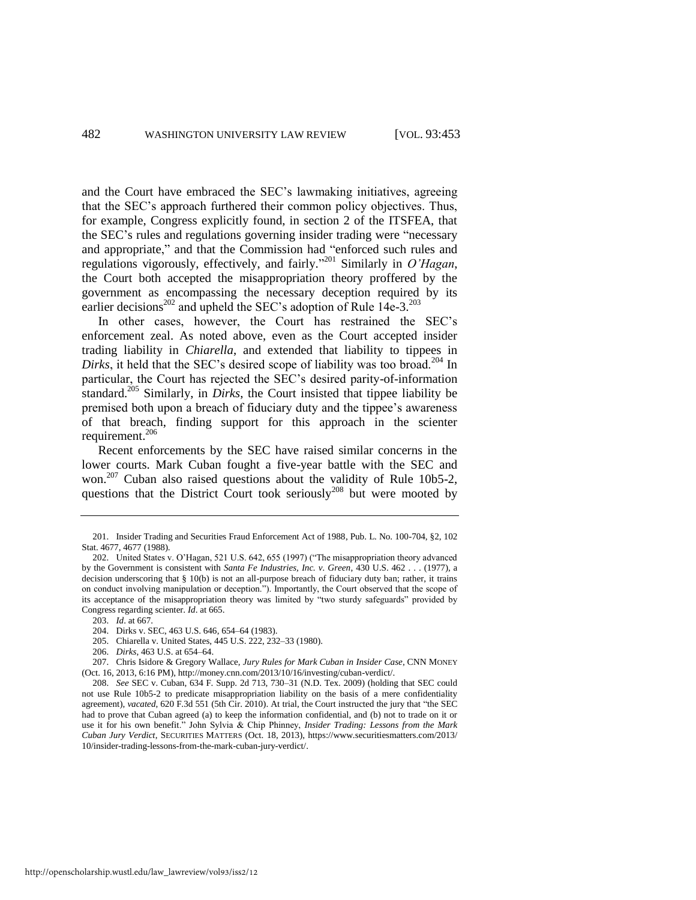and the Court have embraced the SEC's lawmaking initiatives, agreeing that the SEC's approach furthered their common policy objectives. Thus, for example, Congress explicitly found, in section 2 of the ITSFEA, that the SEC's rules and regulations governing insider trading were "necessary and appropriate," and that the Commission had "enforced such rules and regulations vigorously, effectively, and fairly." <sup>201</sup> Similarly in *O'Hagan*, the Court both accepted the misappropriation theory proffered by the government as encompassing the necessary deception required by its earlier decisions<sup>202</sup> and upheld the SEC's adoption of Rule  $14e-3$ .<sup>203</sup>

In other cases, however, the Court has restrained the SEC's enforcement zeal. As noted above, even as the Court accepted insider trading liability in *Chiarella*, and extended that liability to tippees in *Dirks*, it held that the SEC's desired scope of liability was too broad.<sup>204</sup> In particular, the Court has rejected the SEC's desired parity-of-information standard.<sup>205</sup> Similarly, in *Dirks*, the Court insisted that tippee liability be premised both upon a breach of fiduciary duty and the tippee's awareness of that breach, finding support for this approach in the scienter requirement.<sup>206</sup>

Recent enforcements by the SEC have raised similar concerns in the lower courts. Mark Cuban fought a five-year battle with the SEC and won.<sup>207</sup> Cuban also raised questions about the validity of Rule 10b5-2, questions that the District Court took seriously<sup>208</sup> but were mooted by

206. *Dirks*, 463 U.S. at 654–64.

207. Chris Isidore & Gregory Wallace, *Jury Rules for Mark Cuban in Insider Case*, CNN MONEY (Oct. 16, 2013, 6:16 PM), http://money.cnn.com/2013/10/16/investing/cuban-verdict/.

<sup>201.</sup> Insider Trading and Securities Fraud Enforcement Act of 1988, Pub. L. No. 100-704, §2, 102 Stat. 4677, 4677 (1988).

<sup>202.</sup> United States v. O'Hagan, 521 U.S. 642, 655 (1997) ("The misappropriation theory advanced by the Government is consistent with *Santa Fe Industries, Inc. v. Green*, 430 U.S. 462 . . . (1977), a decision underscoring that § 10(b) is not an all-purpose breach of fiduciary duty ban; rather, it trains on conduct involving manipulation or deception."). Importantly, the Court observed that the scope of its acceptance of the misappropriation theory was limited by "two sturdy safeguards" provided by Congress regarding scienter. *Id*. at 665.

<sup>203.</sup> *Id*. at 667.

<sup>204.</sup> Dirks v. SEC, 463 U.S. 646, 654–64 (1983).

<sup>205.</sup> Chiarella v. United States, 445 U.S. 222, 232–33 (1980).

<sup>208.</sup> *See* SEC v. Cuban, 634 F. Supp. 2d 713, 730–31 (N.D. Tex. 2009) (holding that SEC could not use Rule 10b5-2 to predicate misappropriation liability on the basis of a mere confidentiality agreement), *vacated*, 620 F.3d 551 (5th Cir. 2010). At trial, the Court instructed the jury that "the SEC had to prove that Cuban agreed (a) to keep the information confidential, and (b) not to trade on it or use it for his own benefit." John Sylvia & Chip Phinney, *Insider Trading: Lessons from the Mark Cuban Jury Verdict*, SECURITIES MATTERS (Oct. 18, 2013), https://www.securitiesmatters.com/2013/ 10/insider-trading-lessons-from-the-mark-cuban-jury-verdict/.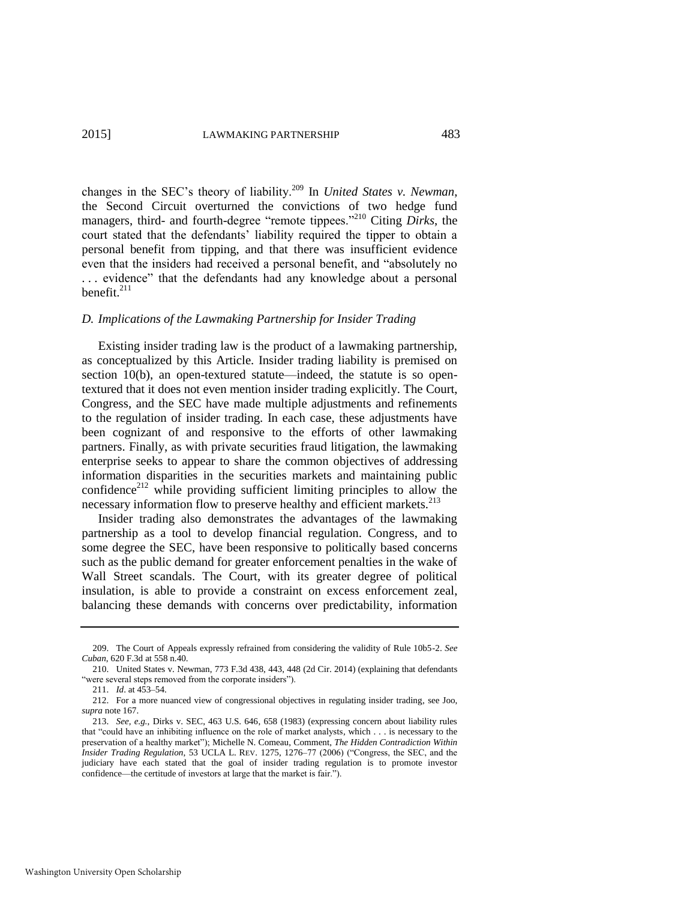changes in the SEC's theory of liability.<sup>209</sup> In *United States v. Newman*, the Second Circuit overturned the convictions of two hedge fund managers, third- and fourth-degree "remote tippees."<sup>210</sup> Citing *Dirks*, the court stated that the defendants' liability required the tipper to obtain a personal benefit from tipping, and that there was insufficient evidence even that the insiders had received a personal benefit, and "absolutely no . . . evidence" that the defendants had any knowledge about a personal benefit. $^{211}$ 

#### <span id="page-31-0"></span>*D. Implications of the Lawmaking Partnership for Insider Trading*

Existing insider trading law is the product of a lawmaking partnership, as conceptualized by this Article. Insider trading liability is premised on section 10(b), an open-textured statute—indeed, the statute is so opentextured that it does not even mention insider trading explicitly. The Court, Congress, and the SEC have made multiple adjustments and refinements to the regulation of insider trading. In each case, these adjustments have been cognizant of and responsive to the efforts of other lawmaking partners. Finally, as with private securities fraud litigation, the lawmaking enterprise seeks to appear to share the common objectives of addressing information disparities in the securities markets and maintaining public confidence<sup>212</sup> while providing sufficient limiting principles to allow the necessary information flow to preserve healthy and efficient markets.<sup>213</sup>

Insider trading also demonstrates the advantages of the lawmaking partnership as a tool to develop financial regulation. Congress, and to some degree the SEC, have been responsive to politically based concerns such as the public demand for greater enforcement penalties in the wake of Wall Street scandals. The Court, with its greater degree of political insulation, is able to provide a constraint on excess enforcement zeal, balancing these demands with concerns over predictability, information

<sup>209.</sup> The Court of Appeals expressly refrained from considering the validity of Rule 10b5-2. *See Cuban*, 620 F.3d at 558 n.40.

<sup>210.</sup> United States v. Newman, 773 F.3d 438, 443, 448 (2d Cir. 2014) (explaining that defendants "were several steps removed from the corporate insiders").

<sup>211.</sup> *Id*. at 453–54.

<sup>212.</sup> For a more nuanced view of congressional objectives in regulating insider trading, see Joo, *supra* not[e 167.](#page-26-2)

<sup>213.</sup> *See, e.g.*, Dirks v. SEC, 463 U.S. 646, 658 (1983) (expressing concern about liability rules that "could have an inhibiting influence on the role of market analysts, which . . . is necessary to the preservation of a healthy market"); Michelle N. Comeau, Comment, *The Hidden Contradiction Within Insider Trading Regulation*, 53 UCLA L. REV. 1275, 1276–77 (2006) ("Congress, the SEC, and the judiciary have each stated that the goal of insider trading regulation is to promote investor confidence—the certitude of investors at large that the market is fair.").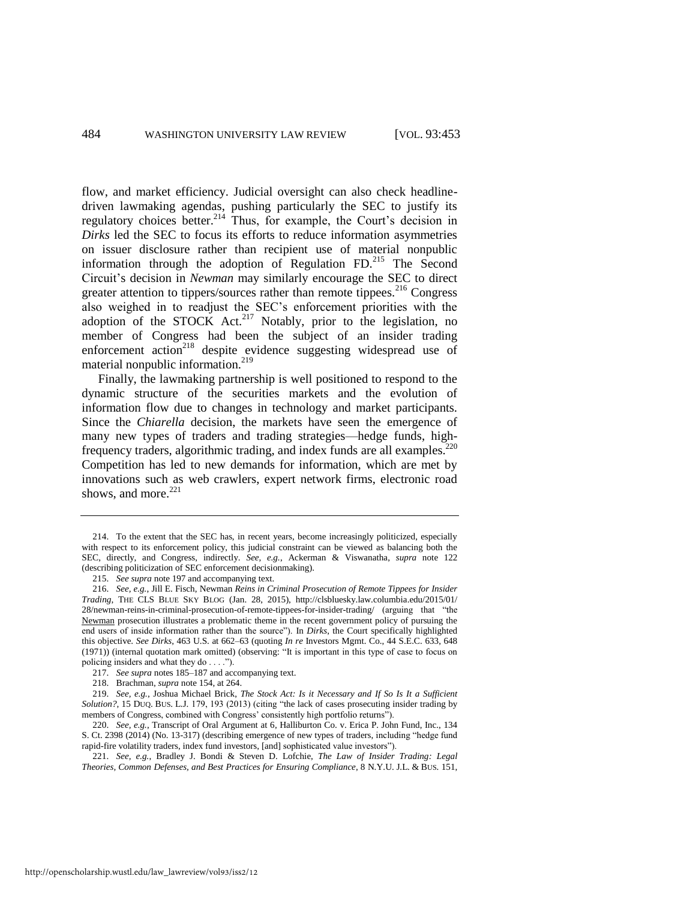flow, and market efficiency. Judicial oversight can also check headlinedriven lawmaking agendas, pushing particularly the SEC to justify its regulatory choices better.<sup>214</sup> Thus, for example, the Court's decision in *Dirks* led the SEC to focus its efforts to reduce information asymmetries on issuer disclosure rather than recipient use of material nonpublic information through the adoption of Regulation FD.<sup>215</sup> The Second Circuit's decision in *Newman* may similarly encourage the SEC to direct greater attention to tippers/sources rather than remote tippees. $216$  Congress also weighed in to readjust the SEC's enforcement priorities with the adoption of the STOCK Act.<sup>217</sup> Notably, prior to the legislation, no member of Congress had been the subject of an insider trading enforcement action<sup>218</sup> despite evidence suggesting widespread use of material nonpublic information.<sup>219</sup>

Finally, the lawmaking partnership is well positioned to respond to the dynamic structure of the securities markets and the evolution of information flow due to changes in technology and market participants. Since the *Chiarella* decision, the markets have seen the emergence of many new types of traders and trading strategies—hedge funds, highfrequency traders, algorithmic trading, and index funds are all examples.<sup>220</sup> Competition has led to new demands for information, which are met by innovations such as web crawlers, expert network firms, electronic road shows, and more. $221$ 

<sup>214.</sup> To the extent that the SEC has, in recent years, become increasingly politicized, especially with respect to its enforcement policy, this judicial constraint can be viewed as balancing both the SEC, directly, and Congress, indirectly. *See, e.g.*, Ackerman & Viswanatha, *supra* note [122](#page-20-0) (describing politicization of SEC enforcement decisionmaking).

<sup>215.</sup> *See supra* not[e 197 a](#page-29-0)nd accompanying text.

<sup>216.</sup> *See, e.g.*, Jill E. Fisch, Newman *Reins in Criminal Prosecution of Remote Tippees for Insider Trading*, THE CLS BLUE SKY BLOG (Jan. 28, 2015), http://clsbluesky.law.columbia.edu/2015/01/ 28/newman-reins-in-criminal-prosecution-of-remote-tippees-for-insider-trading/ (arguing that "the Newman prosecution illustrates a problematic theme in the recent government policy of pursuing the end users of inside information rather than the source"). In *Dirks*, the Court specifically highlighted this objective. *See Dirks*, 463 U.S. at 662–63 (quoting *In re* Investors Mgmt. Co., 44 S.E.C. 633, 648 (1971)) (internal quotation mark omitted) (observing: "It is important in this type of case to focus on policing insiders and what they do . . . .").

<sup>217.</sup> *See supra* note[s 185](#page-28-1)[–187 a](#page-28-2)nd accompanying text.

<sup>218.</sup> Brachman, *supra* not[e 154,](#page-24-0) at 264.

<sup>219.</sup> *See, e.g.*, Joshua Michael Brick, *The Stock Act: Is it Necessary and If So Is It a Sufficient Solution?*, 15 DUQ. BUS. L.J. 179, 193 (2013) (citing "the lack of cases prosecuting insider trading by members of Congress, combined with Congress' consistently high portfolio returns").

<sup>220.</sup> *See, e.g.*, Transcript of Oral Argument at 6, Halliburton Co. v. Erica P. John Fund, Inc., 134 S. Ct. 2398 (2014) (No. 13-317) (describing emergence of new types of traders, including "hedge fund rapid-fire volatility traders, index fund investors, [and] sophisticated value investors").

<sup>221.</sup> *See, e.g.*, Bradley J. Bondi & Steven D. Lofchie, *The Law of Insider Trading: Legal Theories, Common Defenses, and Best Practices for Ensuring Compliance*, 8 N.Y.U. J.L. & BUS. 151,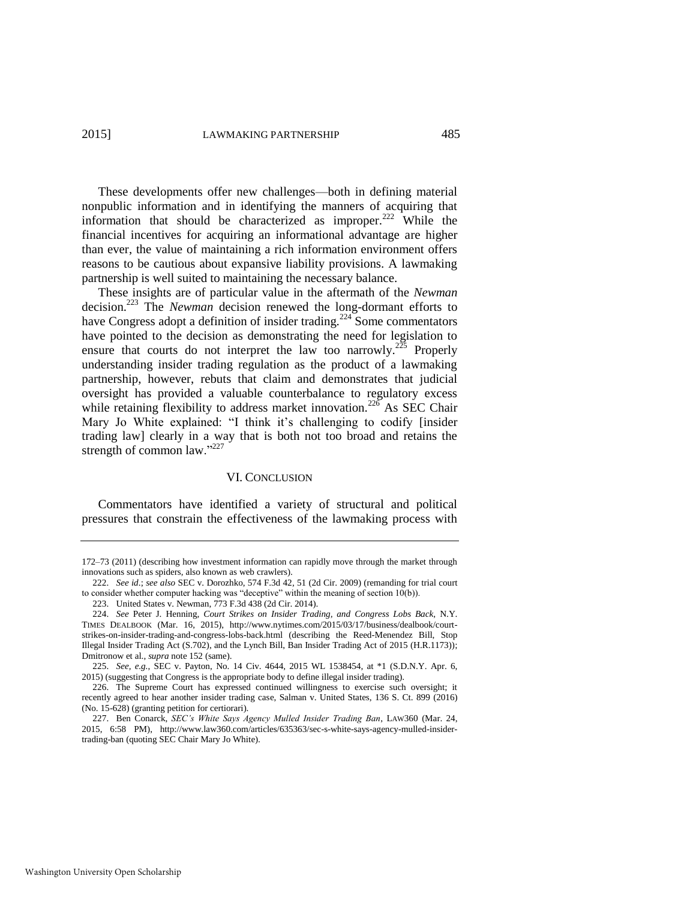These developments offer new challenges—both in defining material nonpublic information and in identifying the manners of acquiring that information that should be characterized as improper.<sup>222</sup> While the financial incentives for acquiring an informational advantage are higher than ever, the value of maintaining a rich information environment offers reasons to be cautious about expansive liability provisions. A lawmaking partnership is well suited to maintaining the necessary balance.

These insights are of particular value in the aftermath of the *Newman* decision.<sup>223</sup> The *Newman* decision renewed the long-dormant efforts to have Congress adopt a definition of insider trading.<sup>224</sup> Some commentators have pointed to the decision as demonstrating the need for legislation to ensure that courts do not interpret the law too narrowly.<sup>225</sup> Properly understanding insider trading regulation as the product of a lawmaking partnership, however, rebuts that claim and demonstrates that judicial oversight has provided a valuable counterbalance to regulatory excess while retaining flexibility to address market innovation.<sup>226</sup> As SEC Chair Mary Jo White explained: "I think it's challenging to codify [insider trading law] clearly in a way that is both not too broad and retains the strength of common law."227

#### VI. CONCLUSION

Commentators have identified a variety of structural and political pressures that constrain the effectiveness of the lawmaking process with

<sup>172–73 (2011) (</sup>describing how investment information can rapidly move through the market through innovations such as spiders, also known as web crawlers).

<sup>222.</sup> *See id*.; *see also* SEC v. Dorozhko, 574 F.3d 42, 51 (2d Cir. 2009) (remanding for trial court to consider whether computer hacking was "deceptive" within the meaning of section 10(b)).

<sup>223.</sup> United States v. Newman, 773 F.3d 438 (2d Cir. 2014).

<sup>224.</sup> *See* Peter J. Henning, *Court Strikes on Insider Trading, and Congress Lobs Back*, N.Y. TIMES DEALBOOK (Mar. 16, 2015), http://www.nytimes.com/2015/03/17/business/dealbook/courtstrikes-on-insider-trading-and-congress-lobs-back.html (describing the Reed-Menendez Bill, Stop Illegal Insider Trading Act (S.702), and the Lynch Bill, Ban Insider Trading Act of 2015 (H.R.1173)); Dmitronow et al., *supra* not[e 152 \(](#page-24-1)same).

<sup>225.</sup> *See, e.g.*, SEC v. Payton, No. 14 Civ. 4644, 2015 WL 1538454, at \*1 (S.D.N.Y. Apr. 6, 2015) (suggesting that Congress is the appropriate body to define illegal insider trading).

<sup>226.</sup> The Supreme Court has expressed continued willingness to exercise such oversight; it recently agreed to hear another insider trading case, Salman v. United States, 136 S. Ct. 899 (2016) (No. 15-628) (granting petition for certiorari).

<sup>227.</sup> Ben Conarck, *SEC's White Says Agency Mulled Insider Trading Ban*, LAW360 (Mar. 24, 2015, 6:58 PM), [http://www.law360.com/articles/635363/sec-s-white-says-agency-mulled-insider](http://www.law360.com/articles/635363/sec-s-white-says-agency-mulled-insider-trading-ban)[trading-ban](http://www.law360.com/articles/635363/sec-s-white-says-agency-mulled-insider-trading-ban) (quoting SEC Chair Mary Jo White).